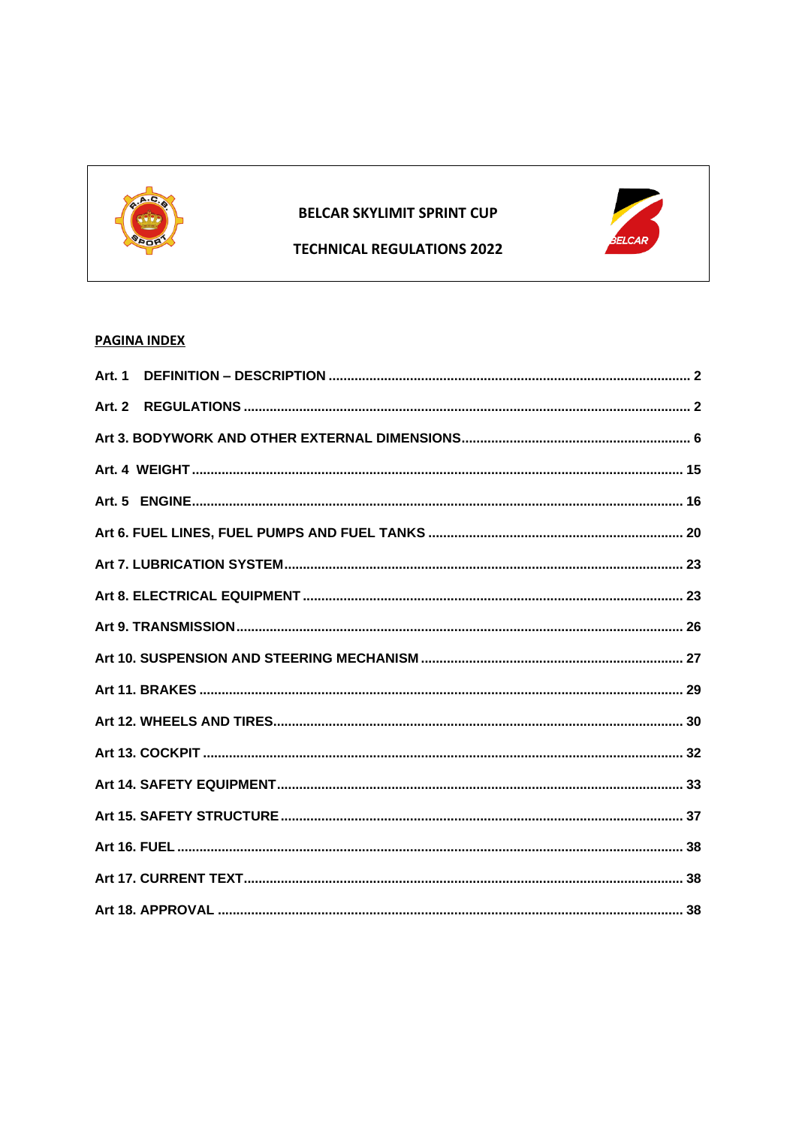

# **BELCAR SKYLIMIT SPRINT CUP**



## **TECHNICAL REGULATIONS 2022**

# **PAGINA INDEX**

| <b>Art. 1</b> |  |
|---------------|--|
| <b>Art. 2</b> |  |
|               |  |
|               |  |
|               |  |
|               |  |
|               |  |
|               |  |
|               |  |
|               |  |
|               |  |
|               |  |
|               |  |
|               |  |
|               |  |
|               |  |
|               |  |
|               |  |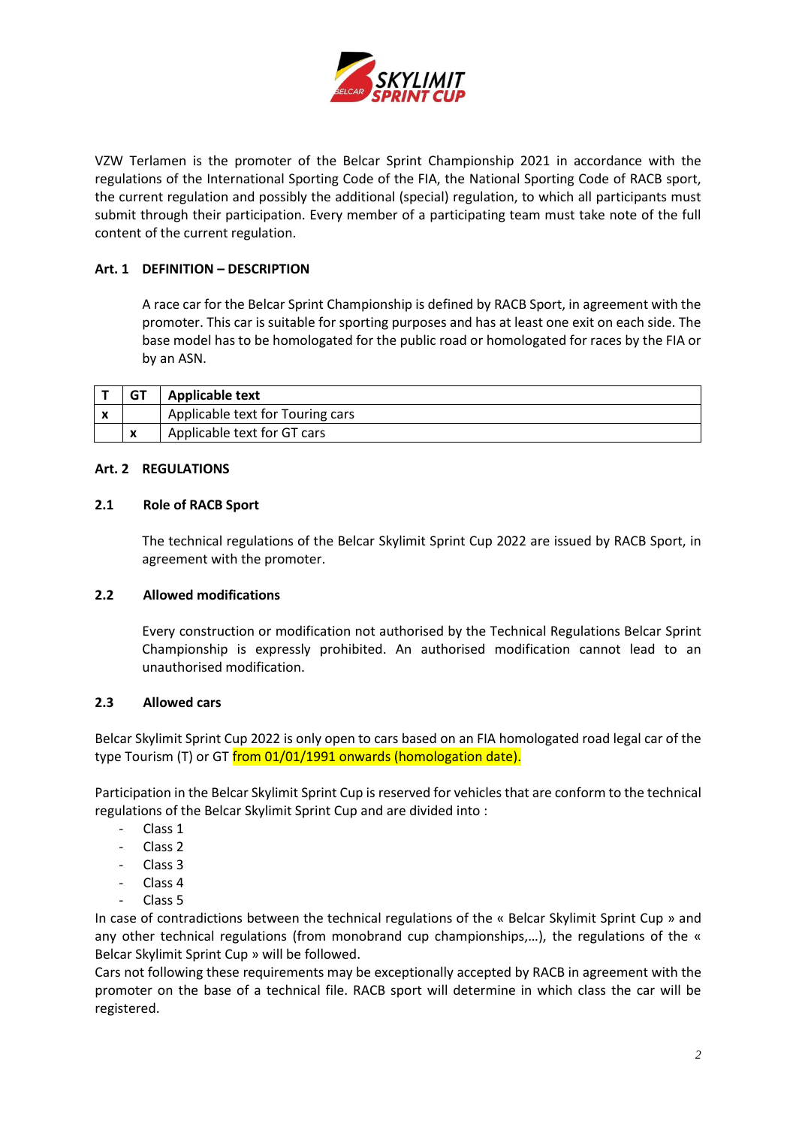

VZW Terlamen is the promoter of the Belcar Sprint Championship 2021 in accordance with the regulations of the International Sporting Code of the FIA, the National Sporting Code of RACB sport, the current regulation and possibly the additional (special) regulation, to which all participants must submit through their participation. Every member of a participating team must take note of the full content of the current regulation.

## <span id="page-1-0"></span>**Art. 1 DEFINITION – DESCRIPTION**

A race car for the Belcar Sprint Championship is defined by RACB Sport, in agreement with the promoter. This car is suitable for sporting purposes and has at least one exit on each side. The base model has to be homologated for the public road or homologated for races by the FIA or by an ASN.

|   | <b>GT</b> | Applicable text                  |
|---|-----------|----------------------------------|
| Λ |           | Applicable text for Touring cars |
|   | X         | Applicable text for GT cars      |

### <span id="page-1-1"></span>**Art. 2 REGULATIONS**

### **2.1 Role of RACB Sport**

The technical regulations of the Belcar Skylimit Sprint Cup 2022 are issued by RACB Sport, in agreement with the promoter.

### **2.2 Allowed modifications**

Every construction or modification not authorised by the Technical Regulations Belcar Sprint Championship is expressly prohibited. An authorised modification cannot lead to an unauthorised modification.

### **2.3 Allowed cars**

Belcar Skylimit Sprint Cup 2022 is only open to cars based on an FIA homologated road legal car of the type Tourism (T) or GT from 01/01/1991 onwards (homologation date).

Participation in the Belcar Skylimit Sprint Cup is reserved for vehicles that are conform to the technical regulations of the Belcar Skylimit Sprint Cup and are divided into :

- Class 1
- Class 2
- Class<sub>3</sub>
- Class 4
- Class 5

In case of contradictions between the technical regulations of the « Belcar Skylimit Sprint Cup » and any other technical regulations (from monobrand cup championships,...), the regulations of the « Belcar Skylimit Sprint Cup » will be followed.

Cars not following these requirements may be exceptionally accepted by RACB in agreement with the promoter on the base of a technical file. RACB sport will determine in which class the car will be registered.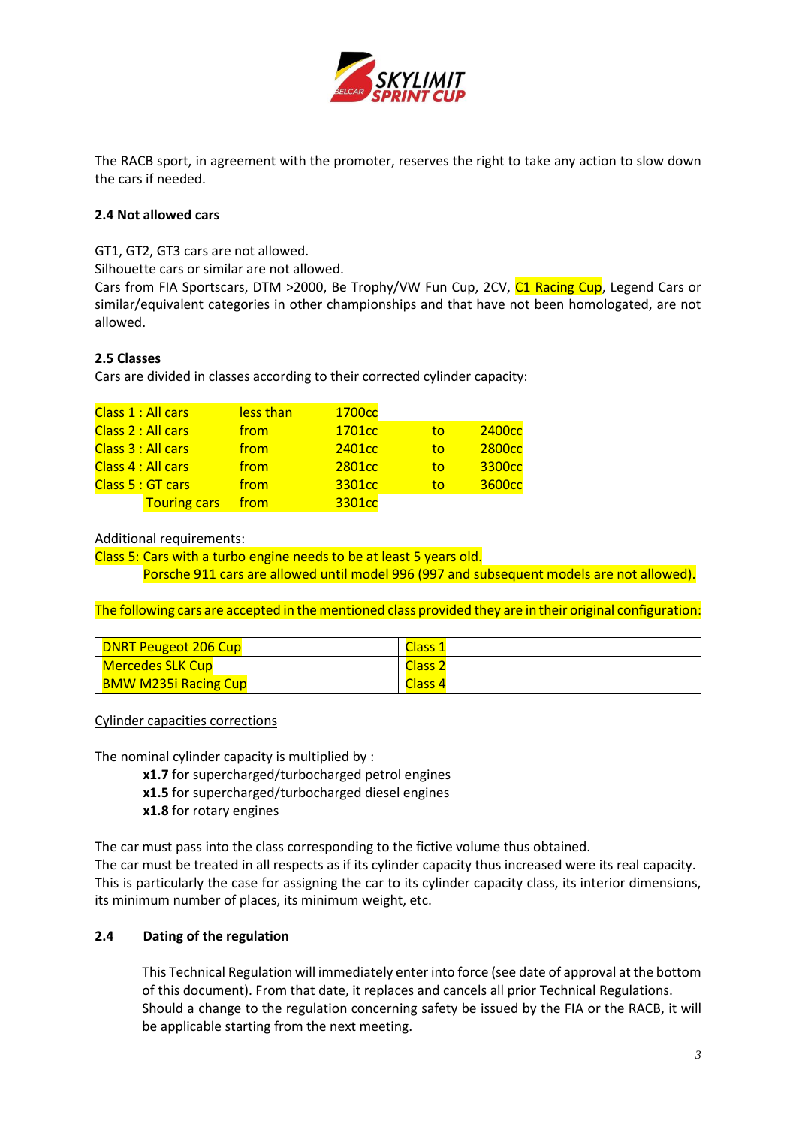

The RACB sport, in agreement with the promoter, reserves the right to take any action to slow down the cars if needed.

## **2.4 Not allowed cars**

GT1, GT2, GT3 cars are not allowed.

Silhouette cars or similar are not allowed.

Cars from FIA Sportscars, DTM >2000, Be Trophy/VW Fun Cup, 2CV, C1 Racing Cup, Legend Cars or similar/equivalent categories in other championships and that have not been homologated, are not allowed.

## **2.5 Classes**

Cars are divided in classes according to their corrected cylinder capacity:

|                    | Class 1 : All cars  | less than | 1700 <sub>cc</sub> |    |                    |
|--------------------|---------------------|-----------|--------------------|----|--------------------|
|                    | Class 2 : All cars  | from      | 1701 <sub>cc</sub> | to | 2400 <sub>cc</sub> |
|                    | Class 3 : All cars  | from      | 2401 <sub>cc</sub> | to | 2800 <sub>cc</sub> |
| Class 4 : All cars |                     | from      | 2801 <sub>cc</sub> | to | 3300 <sub>cc</sub> |
|                    | Class 5 : GT cars   | from      | 3301 <sub>cc</sub> | to | 3600 <sub>cc</sub> |
|                    | <b>Touring cars</b> | from      | 3301cc             |    |                    |

Additional requirements:

Class 5: Cars with a turbo engine needs to be at least 5 years old.

Porsche 911 cars are allowed until model 996 (997 and subsequent models are not allowed).

The following cars are accepted in the mentioned class provided they are in their original configuration:

| <b>DNRT Peugeot 206 Cup</b> | Class 1                                                 |
|-----------------------------|---------------------------------------------------------|
| Mercedes SLK Cup            | $\overline{\phantom{a}}$ Class $\overline{\phantom{a}}$ |
| <b>BMW M235i Racing Cup</b> | Class <sub>4</sub>                                      |

Cylinder capacities corrections

The nominal cylinder capacity is multiplied by :

- **x1.7** for supercharged/turbocharged petrol engines
- **x1.5** for supercharged/turbocharged diesel engines
- **x1.8** for rotary engines

The car must pass into the class corresponding to the fictive volume thus obtained.

The car must be treated in all respects as if its cylinder capacity thus increased were its real capacity. This is particularly the case for assigning the car to its cylinder capacity class, its interior dimensions, its minimum number of places, its minimum weight, etc.

### **2.4 Dating of the regulation**

This Technical Regulation will immediately enter into force (see date of approval at the bottom of this document). From that date, it replaces and cancels all prior Technical Regulations. Should a change to the regulation concerning safety be issued by the FIA or the RACB, it will be applicable starting from the next meeting.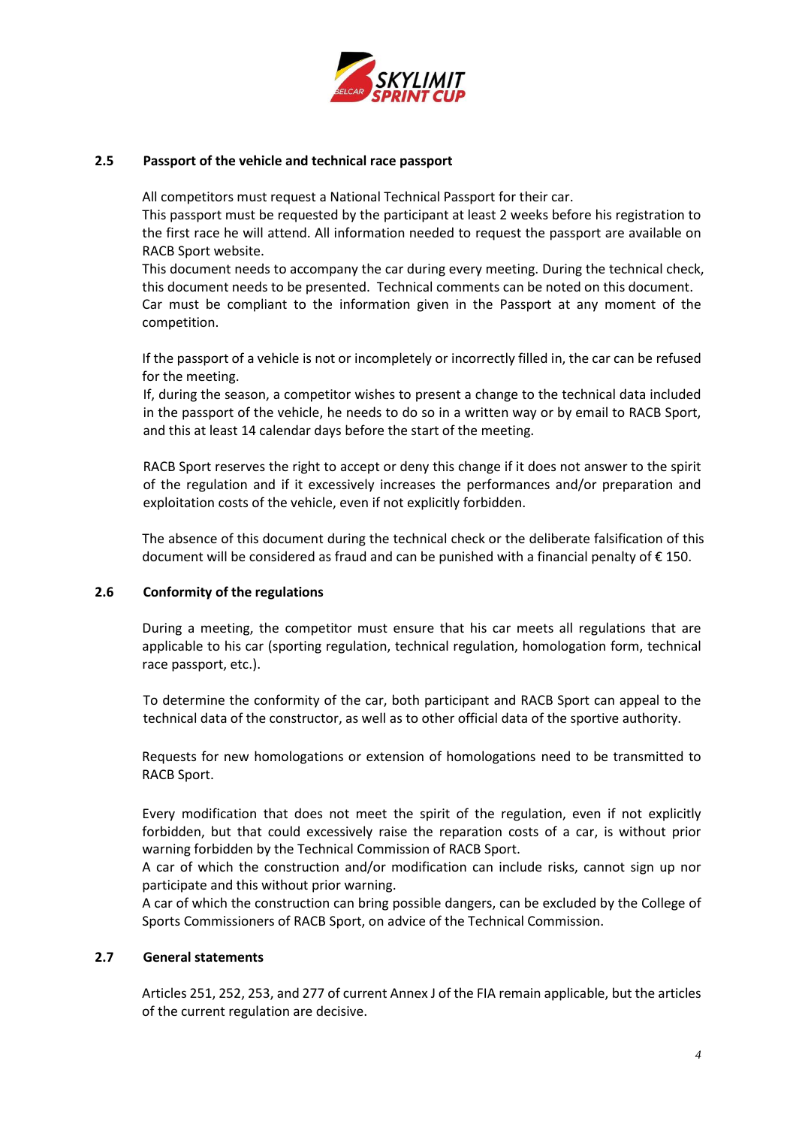

### **2.5 Passport of the vehicle and technical race passport**

All competitors must request a National Technical Passport for their car.

This passport must be requested by the participant at least 2 weeks before his registration to the first race he will attend. All information needed to request the passport are available on RACB Sport website.

This document needs to accompany the car during every meeting. During the technical check, this document needs to be presented. Technical comments can be noted on this document. Car must be compliant to the information given in the Passport at any moment of the competition.

If the passport of a vehicle is not or incompletely or incorrectly filled in, the car can be refused for the meeting.

If, during the season, a competitor wishes to present a change to the technical data included in the passport of the vehicle, he needs to do so in a written way or by email to RACB Sport, and this at least 14 calendar days before the start of the meeting.

RACB Sport reserves the right to accept or deny this change if it does not answer to the spirit of the regulation and if it excessively increases the performances and/or preparation and exploitation costs of the vehicle, even if not explicitly forbidden.

The absence of this document during the technical check or the deliberate falsification of this document will be considered as fraud and can be punished with a financial penalty of € 150.

### **2.6 Conformity of the regulations**

During a meeting, the competitor must ensure that his car meets all regulations that are applicable to his car (sporting regulation, technical regulation, homologation form, technical race passport, etc.).

To determine the conformity of the car, both participant and RACB Sport can appeal to the technical data of the constructor, as well as to other official data of the sportive authority.

Requests for new homologations or extension of homologations need to be transmitted to RACB Sport.

Every modification that does not meet the spirit of the regulation, even if not explicitly forbidden, but that could excessively raise the reparation costs of a car, is without prior warning forbidden by the Technical Commission of RACB Sport.

A car of which the construction and/or modification can include risks, cannot sign up nor participate and this without prior warning.

A car of which the construction can bring possible dangers, can be excluded by the College of Sports Commissioners of RACB Sport, on advice of the Technical Commission.

#### **2.7 General statements**

Articles 251, 252, 253, and 277 of current Annex J of the FIA remain applicable, but the articles of the current regulation are decisive.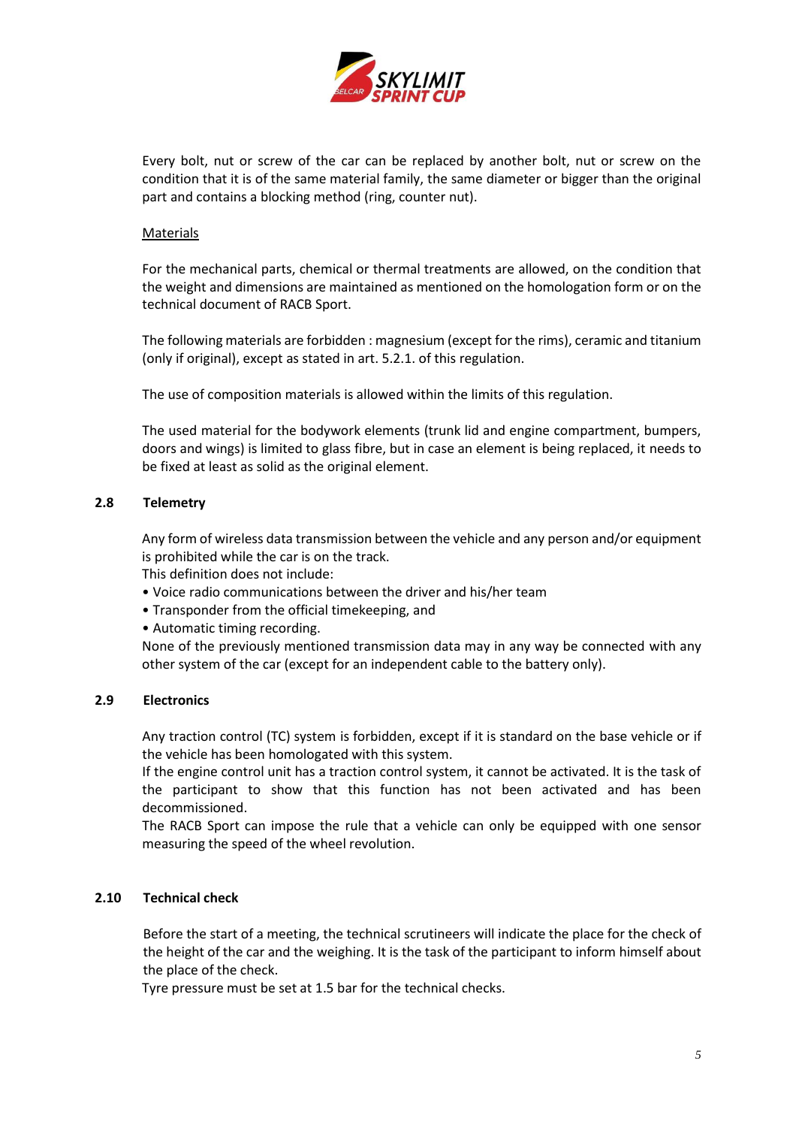

Every bolt, nut or screw of the car can be replaced by another bolt, nut or screw on the condition that it is of the same material family, the same diameter or bigger than the original part and contains a blocking method (ring, counter nut).

### Materials

For the mechanical parts, chemical or thermal treatments are allowed, on the condition that the weight and dimensions are maintained as mentioned on the homologation form or on the technical document of RACB Sport.

The following materials are forbidden : magnesium (except for the rims), ceramic and titanium (only if original), except as stated in art. 5.2.1. of this regulation.

The use of composition materials is allowed within the limits of this regulation.

The used material for the bodywork elements (trunk lid and engine compartment, bumpers, doors and wings) is limited to glass fibre, but in case an element is being replaced, it needs to be fixed at least as solid as the original element.

## **2.8 Telemetry**

Any form of wireless data transmission between the vehicle and any person and/or equipment is prohibited while the car is on the track.

This definition does not include:

- Voice radio communications between the driver and his/her team
- Transponder from the official timekeeping, and
- Automatic timing recording.

None of the previously mentioned transmission data may in any way be connected with any other system of the car (except for an independent cable to the battery only).

### **2.9 Electronics**

Any traction control (TC) system is forbidden, except if it is standard on the base vehicle or if the vehicle has been homologated with this system.

If the engine control unit has a traction control system, it cannot be activated. It is the task of the participant to show that this function has not been activated and has been decommissioned.

The RACB Sport can impose the rule that a vehicle can only be equipped with one sensor measuring the speed of the wheel revolution.

### **2.10 Technical check**

Before the start of a meeting, the technical scrutineers will indicate the place for the check of the height of the car and the weighing. It is the task of the participant to inform himself about the place of the check.

Tyre pressure must be set at 1.5 bar for the technical checks.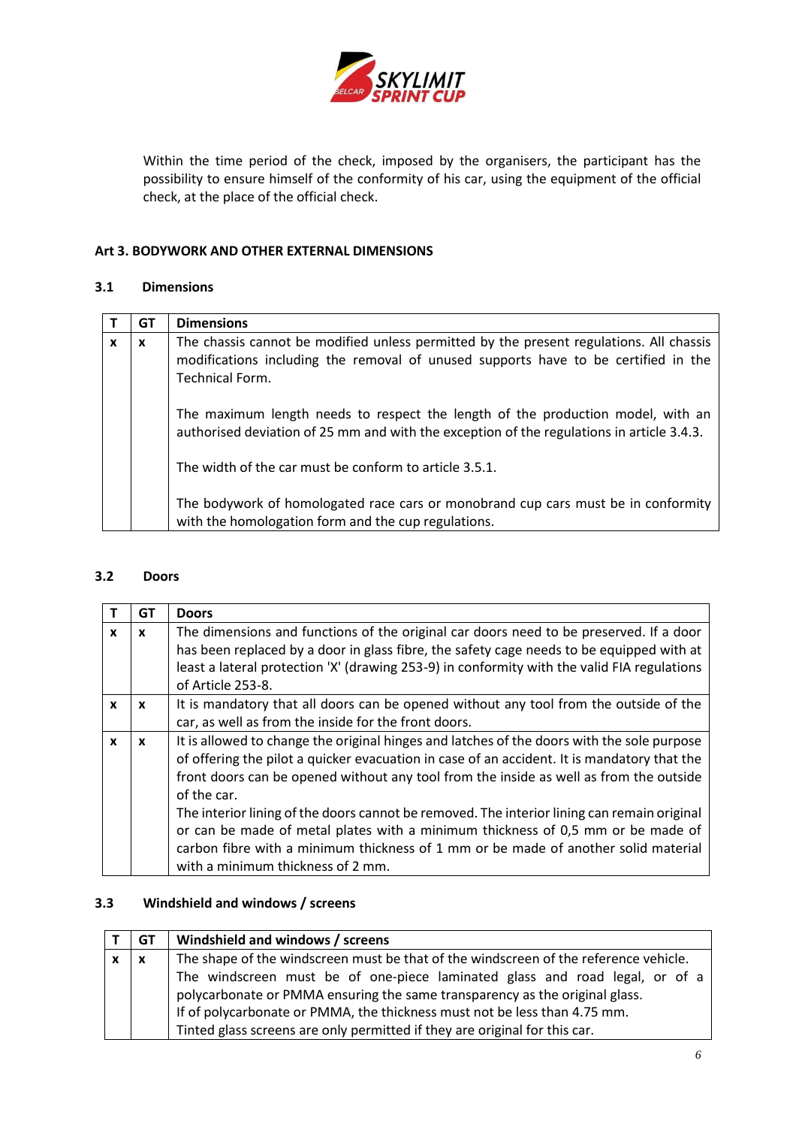

Within the time period of the check, imposed by the organisers, the participant has the possibility to ensure himself of the conformity of his car, using the equipment of the official check, at the place of the official check.

## <span id="page-5-0"></span>**Art 3. BODYWORK AND OTHER EXTERNAL DIMENSIONS**

### **3.1 Dimensions**

|   | GТ | <b>Dimensions</b>                                                                                                                                                                                |
|---|----|--------------------------------------------------------------------------------------------------------------------------------------------------------------------------------------------------|
| X | x  | The chassis cannot be modified unless permitted by the present regulations. All chassis<br>modifications including the removal of unused supports have to be certified in the<br>Technical Form. |
|   |    | The maximum length needs to respect the length of the production model, with an<br>authorised deviation of 25 mm and with the exception of the regulations in article 3.4.3.                     |
|   |    | The width of the car must be conform to article 3.5.1.                                                                                                                                           |
|   |    | The bodywork of homologated race cars or monobrand cup cars must be in conformity<br>with the homologation form and the cup regulations.                                                         |

### **3.2 Doors**

|              | GT           | <b>Doors</b>                                                                                |
|--------------|--------------|---------------------------------------------------------------------------------------------|
| $\mathbf{x}$ | $\mathbf{x}$ | The dimensions and functions of the original car doors need to be preserved. If a door      |
|              |              | has been replaced by a door in glass fibre, the safety cage needs to be equipped with at    |
|              |              | least a lateral protection 'X' (drawing 253-9) in conformity with the valid FIA regulations |
|              |              | of Article 253-8.                                                                           |
| X            | $\mathbf{x}$ | It is mandatory that all doors can be opened without any tool from the outside of the       |
|              |              | car, as well as from the inside for the front doors.                                        |
| X            | X            | It is allowed to change the original hinges and latches of the doors with the sole purpose  |
|              |              | of offering the pilot a quicker evacuation in case of an accident. It is mandatory that the |
|              |              | front doors can be opened without any tool from the inside as well as from the outside      |
|              |              | of the car.                                                                                 |
|              |              | The interior lining of the doors cannot be removed. The interior lining can remain original |
|              |              | or can be made of metal plates with a minimum thickness of 0,5 mm or be made of             |
|              |              | carbon fibre with a minimum thickness of 1 mm or be made of another solid material          |
|              |              | with a minimum thickness of 2 mm.                                                           |

## **3.3 Windshield and windows / screens**

| GT  | Windshield and windows / screens                                                     |
|-----|--------------------------------------------------------------------------------------|
| l X | The shape of the windscreen must be that of the windscreen of the reference vehicle. |
|     | The windscreen must be of one-piece laminated glass and road legal, or of a          |
|     | polycarbonate or PMMA ensuring the same transparency as the original glass.          |
|     | If of polycarbonate or PMMA, the thickness must not be less than 4.75 mm.            |
|     | Tinted glass screens are only permitted if they are original for this car.           |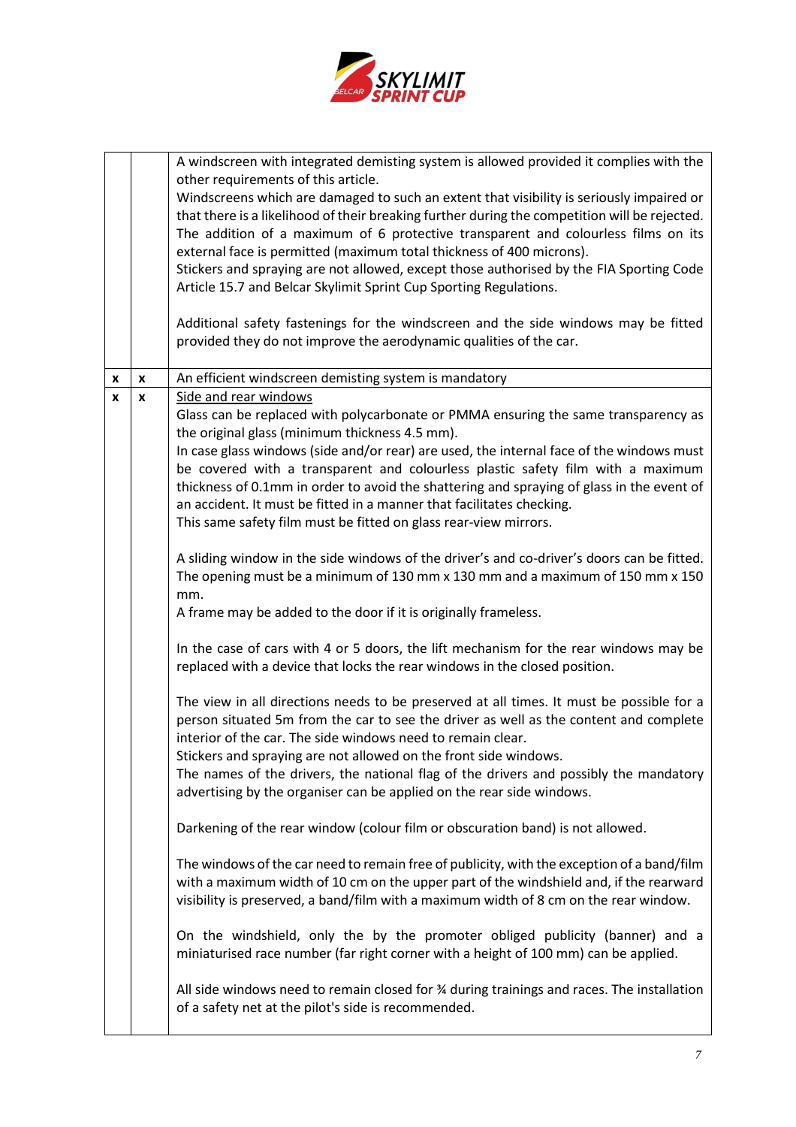

|   |                    | A windscreen with integrated demisting system is allowed provided it complies with the<br>other requirements of this article.<br>Windscreens which are damaged to such an extent that visibility is seriously impaired or<br>that there is a likelihood of their breaking further during the competition will be rejected.<br>The addition of a maximum of 6 protective transparent and colourless films on its<br>external face is permitted (maximum total thickness of 400 microns).<br>Stickers and spraying are not allowed, except those authorised by the FIA Sporting Code<br>Article 15.7 and Belcar Skylimit Sprint Cup Sporting Regulations.<br>Additional safety fastenings for the windscreen and the side windows may be fitted<br>provided they do not improve the aerodynamic qualities of the car. |
|---|--------------------|---------------------------------------------------------------------------------------------------------------------------------------------------------------------------------------------------------------------------------------------------------------------------------------------------------------------------------------------------------------------------------------------------------------------------------------------------------------------------------------------------------------------------------------------------------------------------------------------------------------------------------------------------------------------------------------------------------------------------------------------------------------------------------------------------------------------|
| X | X                  | An efficient windscreen demisting system is mandatory                                                                                                                                                                                                                                                                                                                                                                                                                                                                                                                                                                                                                                                                                                                                                               |
| x | $\pmb{\mathsf{x}}$ | Side and rear windows                                                                                                                                                                                                                                                                                                                                                                                                                                                                                                                                                                                                                                                                                                                                                                                               |
|   |                    | Glass can be replaced with polycarbonate or PMMA ensuring the same transparency as                                                                                                                                                                                                                                                                                                                                                                                                                                                                                                                                                                                                                                                                                                                                  |
|   |                    | the original glass (minimum thickness 4.5 mm).                                                                                                                                                                                                                                                                                                                                                                                                                                                                                                                                                                                                                                                                                                                                                                      |
|   |                    | In case glass windows (side and/or rear) are used, the internal face of the windows must<br>be covered with a transparent and colourless plastic safety film with a maximum                                                                                                                                                                                                                                                                                                                                                                                                                                                                                                                                                                                                                                         |
|   |                    | thickness of 0.1mm in order to avoid the shattering and spraying of glass in the event of                                                                                                                                                                                                                                                                                                                                                                                                                                                                                                                                                                                                                                                                                                                           |
|   |                    | an accident. It must be fitted in a manner that facilitates checking.                                                                                                                                                                                                                                                                                                                                                                                                                                                                                                                                                                                                                                                                                                                                               |
|   |                    | This same safety film must be fitted on glass rear-view mirrors.                                                                                                                                                                                                                                                                                                                                                                                                                                                                                                                                                                                                                                                                                                                                                    |
|   |                    |                                                                                                                                                                                                                                                                                                                                                                                                                                                                                                                                                                                                                                                                                                                                                                                                                     |
|   |                    | A sliding window in the side windows of the driver's and co-driver's doors can be fitted.                                                                                                                                                                                                                                                                                                                                                                                                                                                                                                                                                                                                                                                                                                                           |
|   |                    | The opening must be a minimum of 130 mm x 130 mm and a maximum of 150 mm x 150                                                                                                                                                                                                                                                                                                                                                                                                                                                                                                                                                                                                                                                                                                                                      |
|   |                    | mm.<br>A frame may be added to the door if it is originally frameless.                                                                                                                                                                                                                                                                                                                                                                                                                                                                                                                                                                                                                                                                                                                                              |
|   |                    |                                                                                                                                                                                                                                                                                                                                                                                                                                                                                                                                                                                                                                                                                                                                                                                                                     |
|   |                    | In the case of cars with 4 or 5 doors, the lift mechanism for the rear windows may be<br>replaced with a device that locks the rear windows in the closed position.                                                                                                                                                                                                                                                                                                                                                                                                                                                                                                                                                                                                                                                 |
|   |                    | The view in all directions needs to be preserved at all times. It must be possible for a                                                                                                                                                                                                                                                                                                                                                                                                                                                                                                                                                                                                                                                                                                                            |
|   |                    | person situated 5m from the car to see the driver as well as the content and complete                                                                                                                                                                                                                                                                                                                                                                                                                                                                                                                                                                                                                                                                                                                               |
|   |                    | interior of the car. The side windows need to remain clear.                                                                                                                                                                                                                                                                                                                                                                                                                                                                                                                                                                                                                                                                                                                                                         |
|   |                    | Stickers and spraying are not allowed on the front side windows.                                                                                                                                                                                                                                                                                                                                                                                                                                                                                                                                                                                                                                                                                                                                                    |
|   |                    | The names of the drivers, the national flag of the drivers and possibly the mandatory                                                                                                                                                                                                                                                                                                                                                                                                                                                                                                                                                                                                                                                                                                                               |
|   |                    | advertising by the organiser can be applied on the rear side windows.                                                                                                                                                                                                                                                                                                                                                                                                                                                                                                                                                                                                                                                                                                                                               |
|   |                    | Darkening of the rear window (colour film or obscuration band) is not allowed.                                                                                                                                                                                                                                                                                                                                                                                                                                                                                                                                                                                                                                                                                                                                      |
|   |                    | The windows of the car need to remain free of publicity, with the exception of a band/film                                                                                                                                                                                                                                                                                                                                                                                                                                                                                                                                                                                                                                                                                                                          |
|   |                    | with a maximum width of 10 cm on the upper part of the windshield and, if the rearward                                                                                                                                                                                                                                                                                                                                                                                                                                                                                                                                                                                                                                                                                                                              |
|   |                    | visibility is preserved, a band/film with a maximum width of 8 cm on the rear window.                                                                                                                                                                                                                                                                                                                                                                                                                                                                                                                                                                                                                                                                                                                               |
|   |                    |                                                                                                                                                                                                                                                                                                                                                                                                                                                                                                                                                                                                                                                                                                                                                                                                                     |
|   |                    | On the windshield, only the by the promoter obliged publicity (banner) and a<br>miniaturised race number (far right corner with a height of 100 mm) can be applied.                                                                                                                                                                                                                                                                                                                                                                                                                                                                                                                                                                                                                                                 |
|   |                    | All side windows need to remain closed for $\frac{3}{4}$ during trainings and races. The installation                                                                                                                                                                                                                                                                                                                                                                                                                                                                                                                                                                                                                                                                                                               |
|   |                    | of a safety net at the pilot's side is recommended.                                                                                                                                                                                                                                                                                                                                                                                                                                                                                                                                                                                                                                                                                                                                                                 |
|   |                    |                                                                                                                                                                                                                                                                                                                                                                                                                                                                                                                                                                                                                                                                                                                                                                                                                     |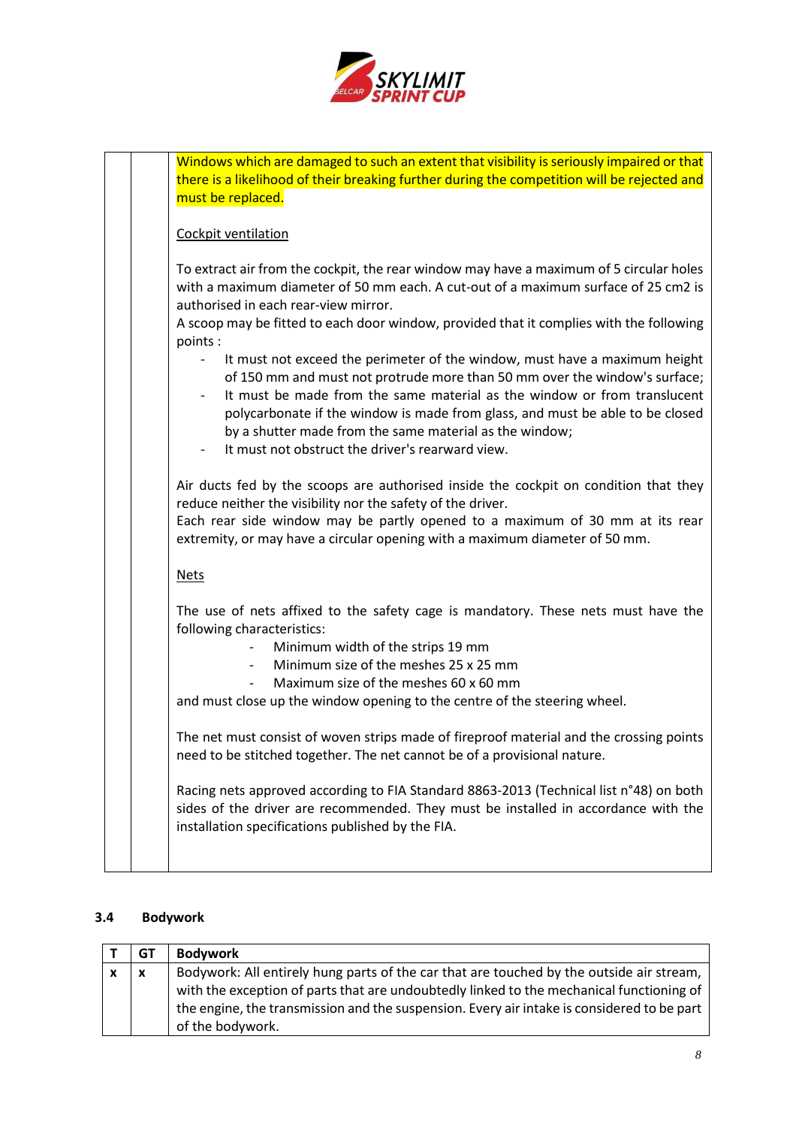

|  | Windows which are damaged to such an extent that visibility is seriously impaired or that<br>there is a likelihood of their breaking further during the competition will be rejected and<br>must be replaced.                                                                                                                                                                                                                                                                                                                                                                                                                                                                                                   |
|--|-----------------------------------------------------------------------------------------------------------------------------------------------------------------------------------------------------------------------------------------------------------------------------------------------------------------------------------------------------------------------------------------------------------------------------------------------------------------------------------------------------------------------------------------------------------------------------------------------------------------------------------------------------------------------------------------------------------------|
|  | Cockpit ventilation                                                                                                                                                                                                                                                                                                                                                                                                                                                                                                                                                                                                                                                                                             |
|  | To extract air from the cockpit, the rear window may have a maximum of 5 circular holes<br>with a maximum diameter of 50 mm each. A cut-out of a maximum surface of 25 cm2 is<br>authorised in each rear-view mirror.<br>A scoop may be fitted to each door window, provided that it complies with the following<br>points:<br>It must not exceed the perimeter of the window, must have a maximum height<br>of 150 mm and must not protrude more than 50 mm over the window's surface;<br>It must be made from the same material as the window or from translucent<br>polycarbonate if the window is made from glass, and must be able to be closed<br>by a shutter made from the same material as the window; |
|  | It must not obstruct the driver's rearward view.                                                                                                                                                                                                                                                                                                                                                                                                                                                                                                                                                                                                                                                                |
|  | Air ducts fed by the scoops are authorised inside the cockpit on condition that they<br>reduce neither the visibility nor the safety of the driver.<br>Each rear side window may be partly opened to a maximum of 30 mm at its rear<br>extremity, or may have a circular opening with a maximum diameter of 50 mm.                                                                                                                                                                                                                                                                                                                                                                                              |
|  | <b>Nets</b>                                                                                                                                                                                                                                                                                                                                                                                                                                                                                                                                                                                                                                                                                                     |
|  | The use of nets affixed to the safety cage is mandatory. These nets must have the<br>following characteristics:<br>Minimum width of the strips 19 mm<br>Minimum size of the meshes 25 x 25 mm<br>$\overline{\phantom{a}}$<br>Maximum size of the meshes 60 x 60 mm<br>and must close up the window opening to the centre of the steering wheel.                                                                                                                                                                                                                                                                                                                                                                 |
|  | The net must consist of woven strips made of fireproof material and the crossing points<br>need to be stitched together. The net cannot be of a provisional nature.                                                                                                                                                                                                                                                                                                                                                                                                                                                                                                                                             |
|  | Racing nets approved according to FIA Standard 8863-2013 (Technical list n°48) on both<br>sides of the driver are recommended. They must be installed in accordance with the<br>installation specifications published by the FIA.                                                                                                                                                                                                                                                                                                                                                                                                                                                                               |
|  |                                                                                                                                                                                                                                                                                                                                                                                                                                                                                                                                                                                                                                                                                                                 |

# **3.4 Bodywork**

|   | GT                        | <b>Bodywork</b>                                                                            |
|---|---------------------------|--------------------------------------------------------------------------------------------|
| X | $\boldsymbol{\mathsf{x}}$ | Bodywork: All entirely hung parts of the car that are touched by the outside air stream,   |
|   |                           | with the exception of parts that are undoubtedly linked to the mechanical functioning of   |
|   |                           | the engine, the transmission and the suspension. Every air intake is considered to be part |
|   |                           | of the bodywork.                                                                           |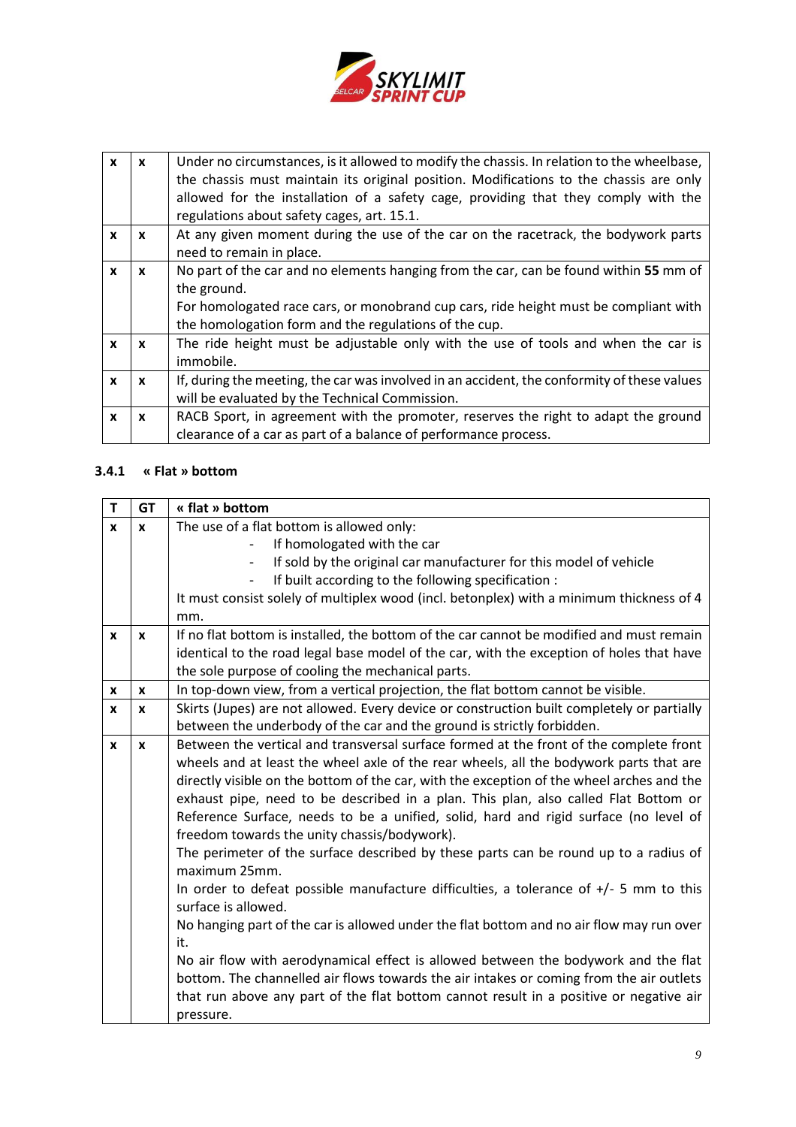

| X            | X            | Under no circumstances, is it allowed to modify the chassis. In relation to the wheelbase,<br>the chassis must maintain its original position. Modifications to the chassis are only<br>allowed for the installation of a safety cage, providing that they comply with the<br>regulations about safety cages, art. 15.1. |
|--------------|--------------|--------------------------------------------------------------------------------------------------------------------------------------------------------------------------------------------------------------------------------------------------------------------------------------------------------------------------|
| x            | x            | At any given moment during the use of the car on the racetrack, the bodywork parts<br>need to remain in place.                                                                                                                                                                                                           |
| X            | x            | No part of the car and no elements hanging from the car, can be found within 55 mm of<br>the ground.<br>For homologated race cars, or monobrand cup cars, ride height must be compliant with<br>the homologation form and the regulations of the cup.                                                                    |
| $\mathbf{x}$ | $\mathbf{x}$ | The ride height must be adjustable only with the use of tools and when the car is<br>immobile.                                                                                                                                                                                                                           |
| X            | x            | If, during the meeting, the car was involved in an accident, the conformity of these values<br>will be evaluated by the Technical Commission.                                                                                                                                                                            |
| x            | x            | RACB Sport, in agreement with the promoter, reserves the right to adapt the ground<br>clearance of a car as part of a balance of performance process.                                                                                                                                                                    |

## **3.4.1 « Flat » bottom**

| $\mathsf{T}$ | <b>GT</b>    | « flat » bottom                                                                                                                                                               |
|--------------|--------------|-------------------------------------------------------------------------------------------------------------------------------------------------------------------------------|
| $\mathbf{x}$ | $\mathbf{x}$ | The use of a flat bottom is allowed only:                                                                                                                                     |
|              |              | If homologated with the car                                                                                                                                                   |
|              |              | If sold by the original car manufacturer for this model of vehicle                                                                                                            |
|              |              | If built according to the following specification :                                                                                                                           |
|              |              | It must consist solely of multiplex wood (incl. betonplex) with a minimum thickness of 4                                                                                      |
|              |              | mm.                                                                                                                                                                           |
| X            | X            | If no flat bottom is installed, the bottom of the car cannot be modified and must remain                                                                                      |
|              |              | identical to the road legal base model of the car, with the exception of holes that have                                                                                      |
|              |              | the sole purpose of cooling the mechanical parts.                                                                                                                             |
| X            | X            | In top-down view, from a vertical projection, the flat bottom cannot be visible.                                                                                              |
| X            | $\mathbf{x}$ | Skirts (Jupes) are not allowed. Every device or construction built completely or partially                                                                                    |
|              |              | between the underbody of the car and the ground is strictly forbidden.                                                                                                        |
| $\mathbf{x}$ | $\mathbf{x}$ | Between the vertical and transversal surface formed at the front of the complete front                                                                                        |
|              |              | wheels and at least the wheel axle of the rear wheels, all the bodywork parts that are                                                                                        |
|              |              | directly visible on the bottom of the car, with the exception of the wheel arches and the                                                                                     |
|              |              | exhaust pipe, need to be described in a plan. This plan, also called Flat Bottom or                                                                                           |
|              |              | Reference Surface, needs to be a unified, solid, hard and rigid surface (no level of<br>freedom towards the unity chassis/bodywork).                                          |
|              |              | The perimeter of the surface described by these parts can be round up to a radius of<br>maximum 25mm.                                                                         |
|              |              | In order to defeat possible manufacture difficulties, a tolerance of $+/-$ 5 mm to this<br>surface is allowed.                                                                |
|              |              | No hanging part of the car is allowed under the flat bottom and no air flow may run over                                                                                      |
|              |              | it.                                                                                                                                                                           |
|              |              | No air flow with aerodynamical effect is allowed between the bodywork and the flat<br>bottom. The channelled air flows towards the air intakes or coming from the air outlets |
|              |              | that run above any part of the flat bottom cannot result in a positive or negative air                                                                                        |
|              |              | pressure.                                                                                                                                                                     |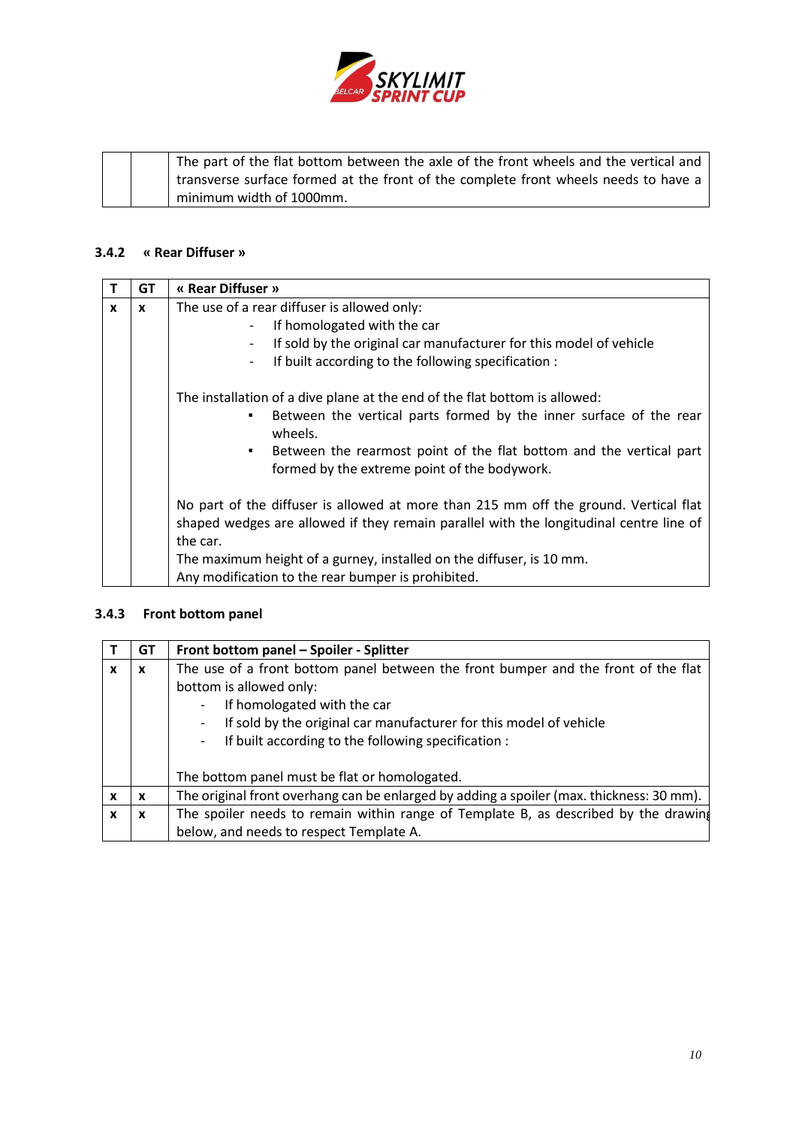

|  | The part of the flat bottom between the axle of the front wheels and the vertical and |
|--|---------------------------------------------------------------------------------------|
|  | transverse surface formed at the front of the complete front wheels needs to have a   |
|  | minimum width of 1000mm.                                                              |

# **3.4.2 « Rear Diffuser »**

|              | <b>GT</b> | « Rear Diffuser »                                                                                                                     |
|--------------|-----------|---------------------------------------------------------------------------------------------------------------------------------------|
| $\mathbf{x}$ | X         | The use of a rear diffuser is allowed only:                                                                                           |
|              |           | If homologated with the car                                                                                                           |
|              |           | If sold by the original car manufacturer for this model of vehicle                                                                    |
|              |           | If built according to the following specification :<br>$\overline{\phantom{a}}$                                                       |
|              |           | The installation of a dive plane at the end of the flat bottom is allowed:                                                            |
|              |           | Between the vertical parts formed by the inner surface of the rear<br>٠<br>wheels.                                                    |
|              |           | Between the rearmost point of the flat bottom and the vertical part<br>$\blacksquare$<br>formed by the extreme point of the bodywork. |
|              |           | No part of the diffuser is allowed at more than 215 mm off the ground. Vertical flat                                                  |
|              |           | shaped wedges are allowed if they remain parallel with the longitudinal centre line of                                                |
|              |           | the car.                                                                                                                              |
|              |           | The maximum height of a gurney, installed on the diffuser, is 10 mm.                                                                  |
|              |           | Any modification to the rear bumper is prohibited.                                                                                    |

# **3.4.3 Front bottom panel**

|   | GТ                        | Front bottom panel - Spoiler - Splitter                                                  |
|---|---------------------------|------------------------------------------------------------------------------------------|
| x | X                         | The use of a front bottom panel between the front bumper and the front of the flat       |
|   |                           | bottom is allowed only:                                                                  |
|   |                           | If homologated with the car                                                              |
|   |                           | If sold by the original car manufacturer for this model of vehicle<br>-                  |
|   |                           | If built according to the following specification :<br>-                                 |
|   |                           |                                                                                          |
|   |                           | The bottom panel must be flat or homologated.                                            |
| x | x                         | The original front overhang can be enlarged by adding a spoiler (max. thickness: 30 mm). |
| X | $\boldsymbol{\mathsf{x}}$ | The spoiler needs to remain within range of Template B, as described by the drawing      |
|   |                           | below, and needs to respect Template A.                                                  |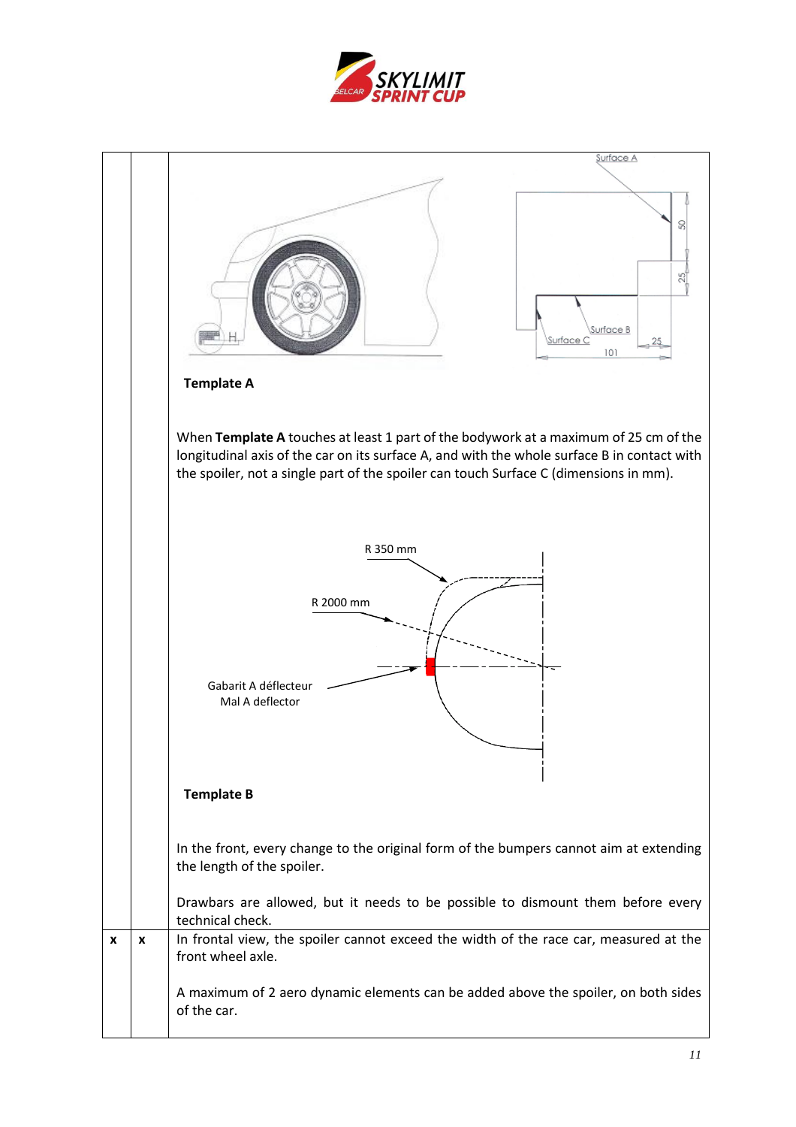

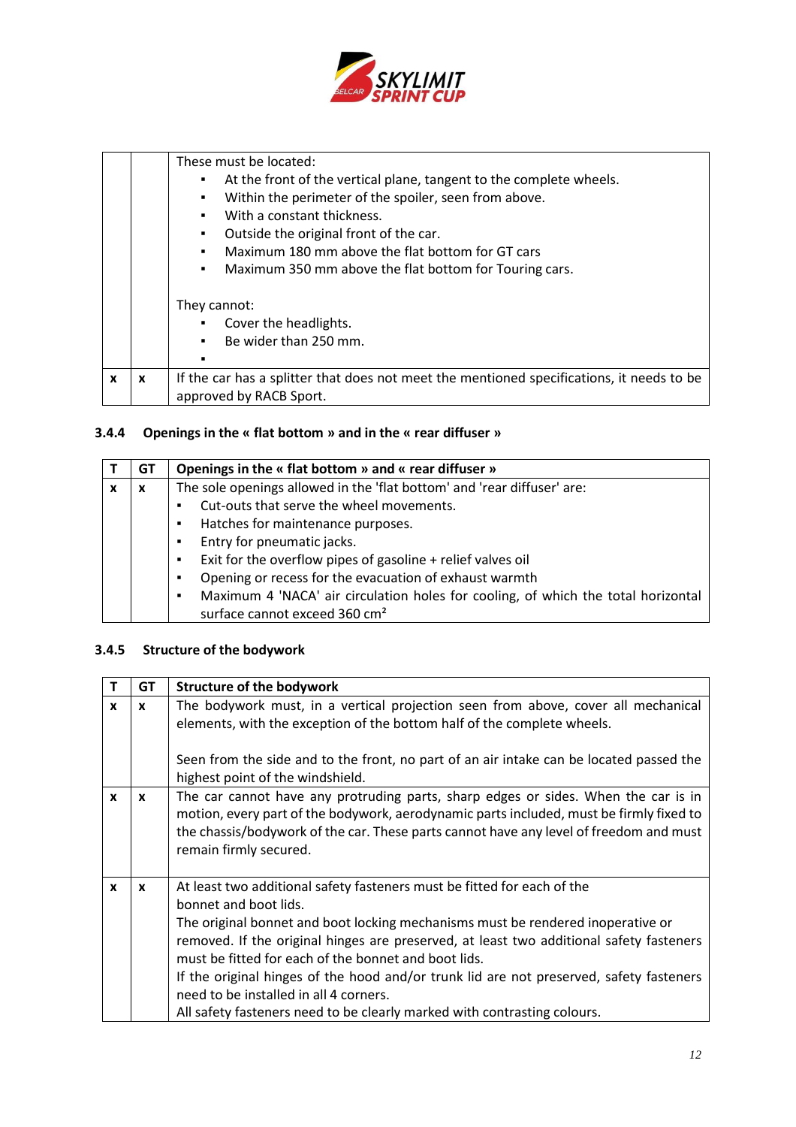

|   |   | These must be located:<br>At the front of the vertical plane, tangent to the complete wheels.<br>п<br>Within the perimeter of the spoiler, seen from above.<br>٠<br>With a constant thickness.<br>$\blacksquare$<br>Outside the original front of the car.<br>٠<br>Maximum 180 mm above the flat bottom for GT cars<br>$\blacksquare$<br>Maximum 350 mm above the flat bottom for Touring cars.<br>$\blacksquare$ |
|---|---|-------------------------------------------------------------------------------------------------------------------------------------------------------------------------------------------------------------------------------------------------------------------------------------------------------------------------------------------------------------------------------------------------------------------|
|   |   | They cannot:<br>Cover the headlights.<br>$\blacksquare$<br>Be wider than 250 mm.<br>$\blacksquare$<br>п                                                                                                                                                                                                                                                                                                           |
| X | X | If the car has a splitter that does not meet the mentioned specifications, it needs to be<br>approved by RACB Sport.                                                                                                                                                                                                                                                                                              |

## **3.4.4 Openings in the « flat bottom » and in the « rear diffuser »**

| GТ | Openings in the « flat bottom » and « rear diffuser »                                  |
|----|----------------------------------------------------------------------------------------|
| X  | The sole openings allowed in the 'flat bottom' and 'rear diffuser' are:                |
|    | Cut-outs that serve the wheel movements.                                               |
|    | Hatches for maintenance purposes.<br>$\blacksquare$                                    |
|    | Entry for pneumatic jacks.<br>$\blacksquare$                                           |
|    | Exit for the overflow pipes of gasoline + relief valves oil<br>$\blacksquare$          |
|    | Opening or recess for the evacuation of exhaust warmth<br>٠                            |
|    | Maximum 4 'NACA' air circulation holes for cooling, of which the total horizontal<br>٠ |
|    | surface cannot exceed 360 cm <sup>2</sup>                                              |

## **3.4.5 Structure of the bodywork**

 $\blacksquare$ 

| т            | GT           | <b>Structure of the bodywork</b>                                                                                                                                                                                                                                                                                                                                                                                                                                                                                                                        |
|--------------|--------------|---------------------------------------------------------------------------------------------------------------------------------------------------------------------------------------------------------------------------------------------------------------------------------------------------------------------------------------------------------------------------------------------------------------------------------------------------------------------------------------------------------------------------------------------------------|
| $\mathbf{x}$ | $\mathbf{x}$ | The bodywork must, in a vertical projection seen from above, cover all mechanical<br>elements, with the exception of the bottom half of the complete wheels.<br>Seen from the side and to the front, no part of an air intake can be located passed the<br>highest point of the windshield.                                                                                                                                                                                                                                                             |
| $\mathbf{x}$ | $\mathbf{x}$ | The car cannot have any protruding parts, sharp edges or sides. When the car is in<br>motion, every part of the bodywork, aerodynamic parts included, must be firmly fixed to<br>the chassis/bodywork of the car. These parts cannot have any level of freedom and must<br>remain firmly secured.                                                                                                                                                                                                                                                       |
| $\mathbf{x}$ | $\mathbf{x}$ | At least two additional safety fasteners must be fitted for each of the<br>bonnet and boot lids.<br>The original bonnet and boot locking mechanisms must be rendered inoperative or<br>removed. If the original hinges are preserved, at least two additional safety fasteners<br>must be fitted for each of the bonnet and boot lids.<br>If the original hinges of the hood and/or trunk lid are not preserved, safety fasteners<br>need to be installed in all 4 corners.<br>All safety fasteners need to be clearly marked with contrasting colours. |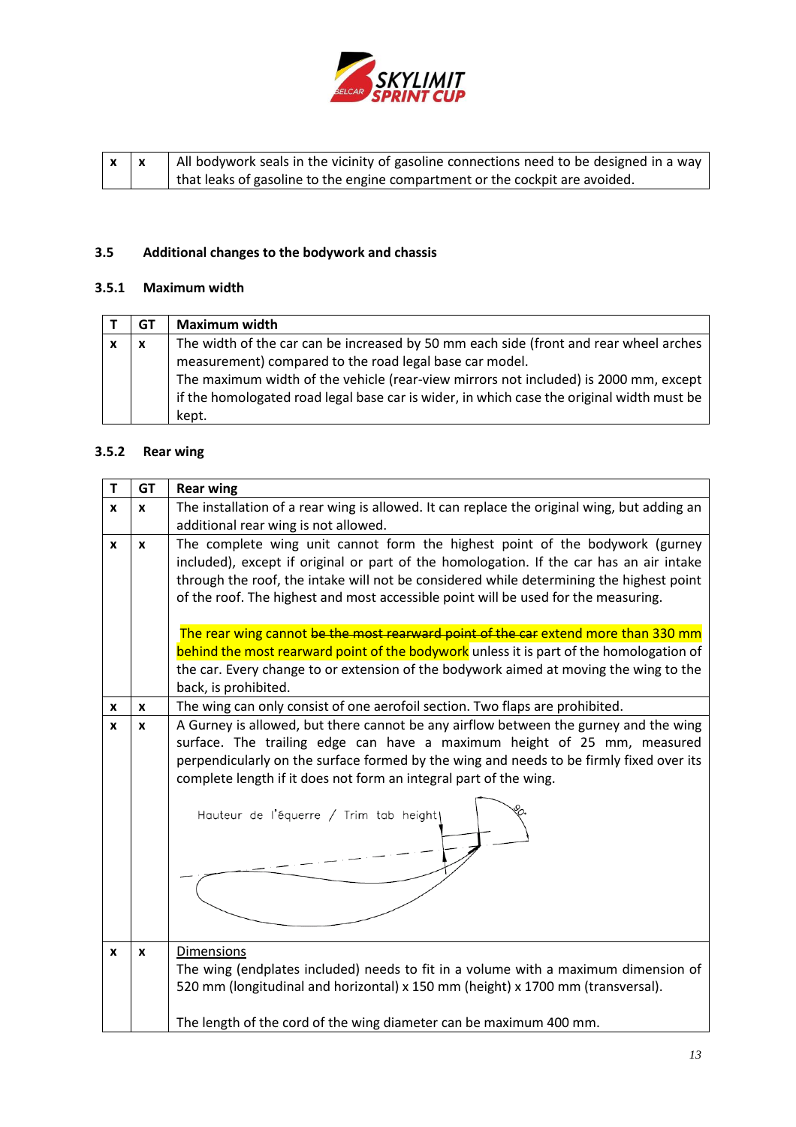

| $x \mid x$ | All bodywork seals in the vicinity of gasoline connections need to be designed in a way |
|------------|-----------------------------------------------------------------------------------------|
|            | that leaks of gasoline to the engine compartment or the cockpit are avoided.            |

# **3.5 Additional changes to the bodywork and chassis**

## **3.5.1 Maximum width**

| GT | <b>Maximum width</b>                                                                      |
|----|-------------------------------------------------------------------------------------------|
| X  | The width of the car can be increased by 50 mm each side (front and rear wheel arches     |
|    | measurement) compared to the road legal base car model.                                   |
|    | The maximum width of the vehicle (rear-view mirrors not included) is 2000 mm, except      |
|    | if the homologated road legal base car is wider, in which case the original width must be |
|    | kept.                                                                                     |

# **3.5.2 Rear wing**

| т | <b>GT</b>        | <b>Rear wing</b>                                                                                        |
|---|------------------|---------------------------------------------------------------------------------------------------------|
| x | $\boldsymbol{x}$ | The installation of a rear wing is allowed. It can replace the original wing, but adding an             |
|   |                  | additional rear wing is not allowed.                                                                    |
| X | $\mathbf{x}$     | The complete wing unit cannot form the highest point of the bodywork (gurney                            |
|   |                  | included), except if original or part of the homologation. If the car has an air intake                 |
|   |                  | through the roof, the intake will not be considered while determining the highest point                 |
|   |                  | of the roof. The highest and most accessible point will be used for the measuring.                      |
|   |                  | The rear wing cannot be the most rearward point of the car extend more than 330 mm                      |
|   |                  | behind the most rearward point of the bodywork unless it is part of the homologation of                 |
|   |                  | the car. Every change to or extension of the bodywork aimed at moving the wing to the                   |
|   |                  | back, is prohibited.                                                                                    |
| x | X                | The wing can only consist of one aerofoil section. Two flaps are prohibited.                            |
| X | $\boldsymbol{x}$ | A Gurney is allowed, but there cannot be any airflow between the gurney and the wing                    |
|   |                  | surface. The trailing edge can have a maximum height of 25 mm, measured                                 |
|   |                  | perpendicularly on the surface formed by the wing and needs to be firmly fixed over its                 |
|   |                  | complete length if it does not form an integral part of the wing.                                       |
|   |                  |                                                                                                         |
|   |                  | Hauteur de l'équerre / Trim tab height                                                                  |
|   |                  |                                                                                                         |
|   |                  |                                                                                                         |
|   |                  |                                                                                                         |
|   |                  |                                                                                                         |
|   |                  |                                                                                                         |
|   |                  |                                                                                                         |
| x | X                | <b>Dimensions</b><br>The wing (endplates included) needs to fit in a volume with a maximum dimension of |
|   |                  | 520 mm (longitudinal and horizontal) x 150 mm (height) x 1700 mm (transversal).                         |
|   |                  |                                                                                                         |
|   |                  | The length of the cord of the wing diameter can be maximum 400 mm.                                      |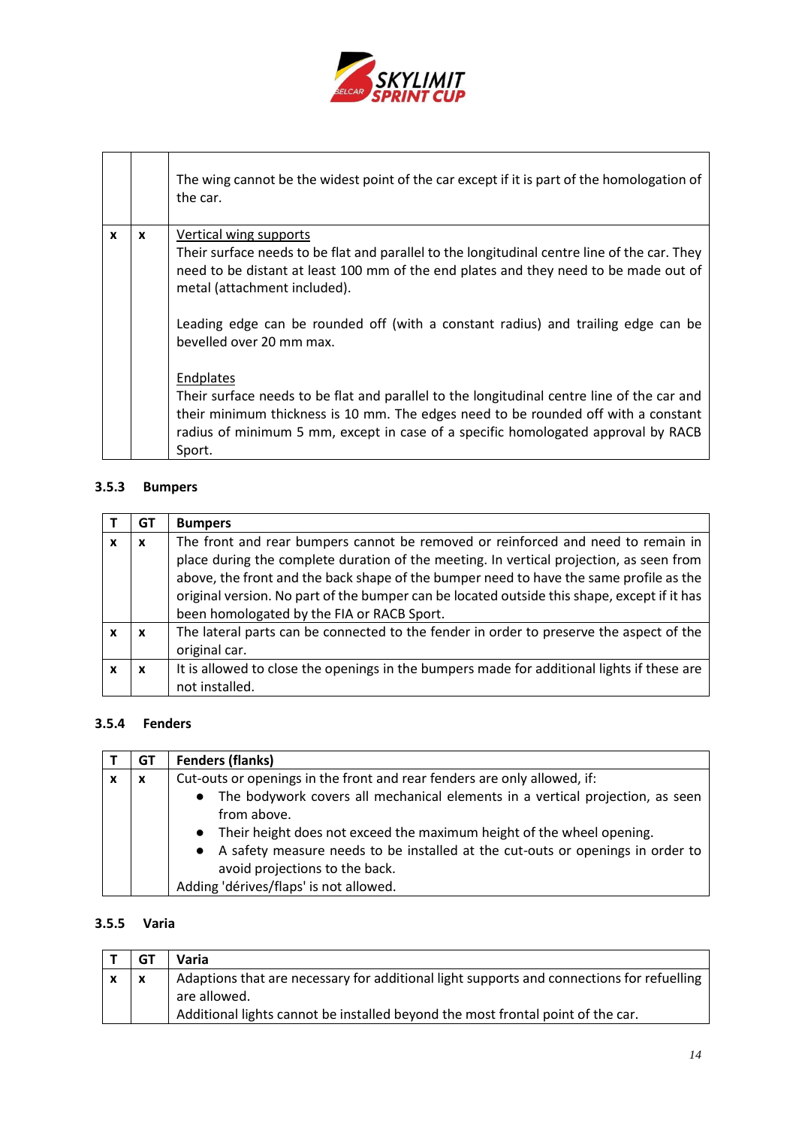

|   |   | The wing cannot be the widest point of the car except if it is part of the homologation of<br>the car.               |
|---|---|----------------------------------------------------------------------------------------------------------------------|
| x | x | Vertical wing supports                                                                                               |
|   |   | Their surface needs to be flat and parallel to the longitudinal centre line of the car. They                         |
|   |   | need to be distant at least 100 mm of the end plates and they need to be made out of<br>metal (attachment included). |
|   |   |                                                                                                                      |
|   |   | Leading edge can be rounded off (with a constant radius) and trailing edge can be                                    |
|   |   | bevelled over 20 mm max.                                                                                             |
|   |   | Endplates                                                                                                            |
|   |   | Their surface needs to be flat and parallel to the longitudinal centre line of the car and                           |
|   |   | their minimum thickness is 10 mm. The edges need to be rounded off with a constant                                   |
|   |   | radius of minimum 5 mm, except in case of a specific homologated approval by RACB                                    |
|   |   | Sport.                                                                                                               |

## **3.5.3 Bumpers**

| GT | <b>Bumpers</b>                                                                              |
|----|---------------------------------------------------------------------------------------------|
| X  | The front and rear bumpers cannot be removed or reinforced and need to remain in            |
|    | place during the complete duration of the meeting. In vertical projection, as seen from     |
|    | above, the front and the back shape of the bumper need to have the same profile as the      |
|    | original version. No part of the bumper can be located outside this shape, except if it has |
|    | been homologated by the FIA or RACB Sport.                                                  |
| x  | The lateral parts can be connected to the fender in order to preserve the aspect of the     |
|    | original car.                                                                               |
|    | It is allowed to close the openings in the bumpers made for additional lights if these are  |
|    | not installed.                                                                              |

## **3.5.4 Fenders**

| GT               | <b>Fenders (flanks)</b>                                                                                                                                                                                                                                                                                                          |
|------------------|----------------------------------------------------------------------------------------------------------------------------------------------------------------------------------------------------------------------------------------------------------------------------------------------------------------------------------|
| $\boldsymbol{x}$ | Cut-outs or openings in the front and rear fenders are only allowed, if:                                                                                                                                                                                                                                                         |
|                  | The bodywork covers all mechanical elements in a vertical projection, as seen<br>$\bullet$<br>from above.<br>Their height does not exceed the maximum height of the wheel opening.<br>$\bullet$<br>A safety measure needs to be installed at the cut-outs or openings in order to<br>$\bullet$<br>avoid projections to the back. |
|                  | Adding 'dérives/flaps' is not allowed.                                                                                                                                                                                                                                                                                           |

## **3.5.5 Varia**

|              | GT                        | Varia                                                                                     |
|--------------|---------------------------|-------------------------------------------------------------------------------------------|
| $\mathbf{x}$ | $\boldsymbol{\mathsf{x}}$ | Adaptions that are necessary for additional light supports and connections for refuelling |
|              |                           | are allowed.                                                                              |
|              |                           | Additional lights cannot be installed beyond the most frontal point of the car.           |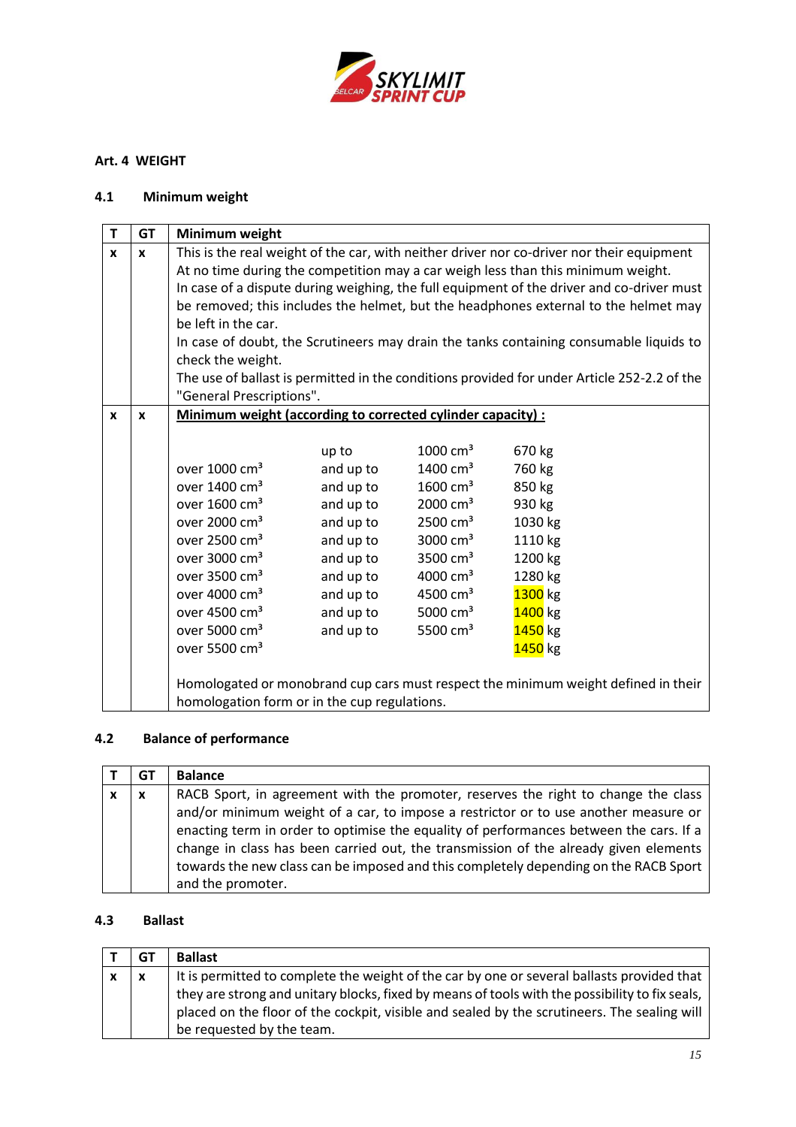

## <span id="page-14-0"></span>**Art. 4 WEIGHT**

## **4.1 Minimum weight**

| T            | <b>GT</b>        | Minimum weight                                                    |           |                      |                                                                                             |
|--------------|------------------|-------------------------------------------------------------------|-----------|----------------------|---------------------------------------------------------------------------------------------|
| $\mathbf{x}$ | X                |                                                                   |           |                      | This is the real weight of the car, with neither driver nor co-driver nor their equipment   |
|              |                  |                                                                   |           |                      | At no time during the competition may a car weigh less than this minimum weight.            |
|              |                  |                                                                   |           |                      | In case of a dispute during weighing, the full equipment of the driver and co-driver must   |
|              |                  |                                                                   |           |                      | be removed; this includes the helmet, but the headphones external to the helmet may         |
|              |                  | be left in the car.                                               |           |                      |                                                                                             |
|              |                  |                                                                   |           |                      | In case of doubt, the Scrutineers may drain the tanks containing consumable liquids to      |
|              |                  | check the weight.                                                 |           |                      |                                                                                             |
|              |                  |                                                                   |           |                      | The use of ballast is permitted in the conditions provided for under Article 252-2.2 of the |
|              |                  | "General Prescriptions".                                          |           |                      |                                                                                             |
| $\mathbf{x}$ | $\boldsymbol{x}$ | <b>Minimum weight (according to corrected cylinder capacity):</b> |           |                      |                                                                                             |
|              |                  |                                                                   |           |                      |                                                                                             |
|              |                  |                                                                   | up to     | $1000 \text{ cm}^3$  | 670 kg                                                                                      |
|              |                  | over 1000 cm <sup>3</sup>                                         | and up to | $1400 \text{ cm}^3$  | 760 kg                                                                                      |
|              |                  | over 1400 cm <sup>3</sup>                                         | and up to | $1600 \text{ cm}^3$  | 850 kg                                                                                      |
|              |                  | over 1600 cm <sup>3</sup>                                         | and up to | 2000 cm <sup>3</sup> | 930 kg                                                                                      |
|              |                  | over 2000 cm <sup>3</sup>                                         | and up to | $2500 \text{ cm}^3$  | 1030 kg                                                                                     |
|              |                  | over 2500 cm <sup>3</sup>                                         | and up to | 3000 cm <sup>3</sup> | 1110 kg                                                                                     |
|              |                  | over 3000 cm <sup>3</sup>                                         | and up to | 3500 cm <sup>3</sup> | 1200 kg                                                                                     |
|              |                  | over 3500 cm <sup>3</sup>                                         | and up to | 4000 $cm3$           | 1280 kg                                                                                     |
|              |                  | over 4000 cm <sup>3</sup>                                         | and up to | 4500 cm <sup>3</sup> | 1300 kg                                                                                     |
|              |                  | over 4500 cm <sup>3</sup>                                         | and up to | 5000 $cm3$           | 1400 kg                                                                                     |
|              |                  | over 5000 cm <sup>3</sup>                                         | and up to | 5500 cm <sup>3</sup> | 1450 kg                                                                                     |
|              |                  | over 5500 cm <sup>3</sup>                                         |           |                      | 1450 kg                                                                                     |
|              |                  |                                                                   |           |                      |                                                                                             |
|              |                  |                                                                   |           |                      | Homologated or monobrand cup cars must respect the minimum weight defined in their          |
|              |                  | homologation form or in the cup regulations.                      |           |                      |                                                                                             |

# **4.2 Balance of performance**

|   | GT                        | <b>Balance</b>                                                                         |
|---|---------------------------|----------------------------------------------------------------------------------------|
| x | $\boldsymbol{\mathsf{x}}$ | RACB Sport, in agreement with the promoter, reserves the right to change the class     |
|   |                           | and/or minimum weight of a car, to impose a restrictor or to use another measure or    |
|   |                           | enacting term in order to optimise the equality of performances between the cars. If a |
|   |                           | change in class has been carried out, the transmission of the already given elements   |
|   |                           | towards the new class can be imposed and this completely depending on the RACB Sport   |
|   |                           | and the promoter.                                                                      |

## **4.3 Ballast**

| GT                        | <b>Ballast</b>                                                                                 |
|---------------------------|------------------------------------------------------------------------------------------------|
| $\boldsymbol{\mathsf{x}}$ | It is permitted to complete the weight of the car by one or several ballasts provided that     |
|                           | they are strong and unitary blocks, fixed by means of tools with the possibility to fix seals, |
|                           | placed on the floor of the cockpit, visible and sealed by the scrutineers. The sealing will    |
|                           | be requested by the team.                                                                      |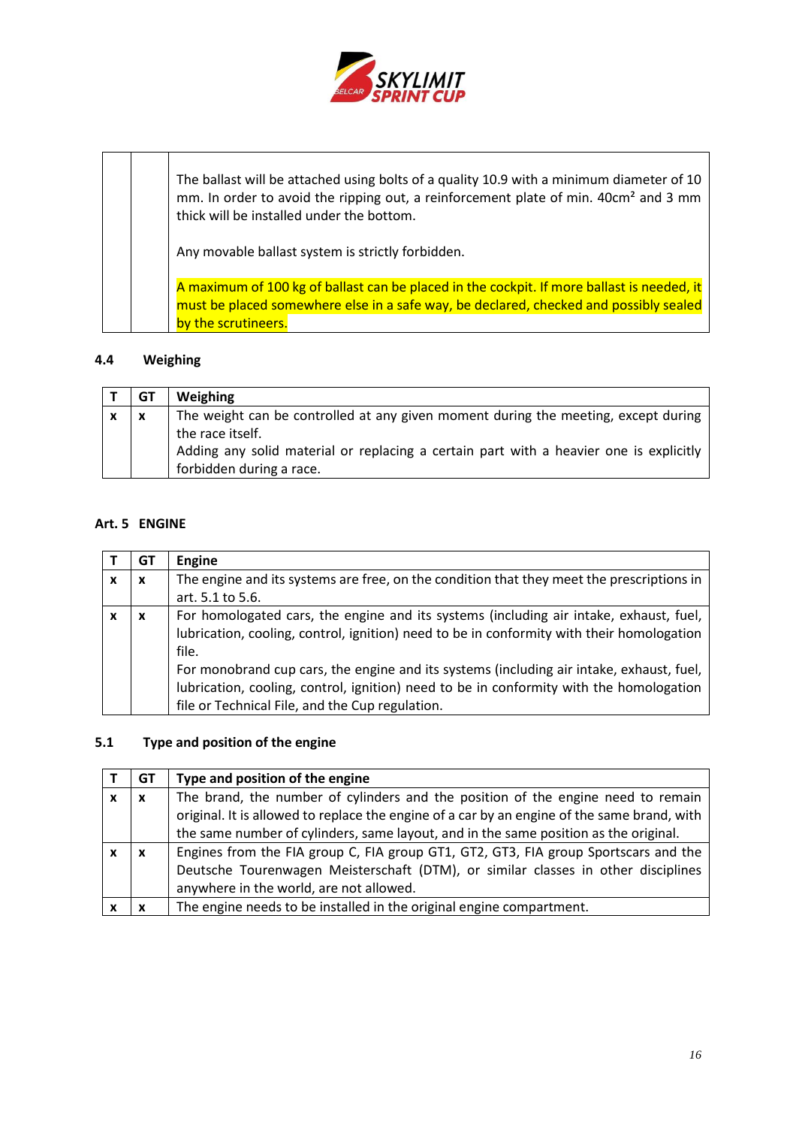

The ballast will be attached using bolts of a quality 10.9 with a minimum diameter of 10 mm. In order to avoid the ripping out, a reinforcement plate of min. 40cm² and 3 mm thick will be installed under the bottom. Any movable ballast system is strictly forbidden. A maximum of 100 kg of ballast can be placed in the cockpit. If more ballast is needed, it must be placed somewhere else in a safe way, be declared, checked and possibly sealed by the scrutineers.

### **4.4 Weighing**

|              | GT  | <b>Weighing</b>                                                                        |
|--------------|-----|----------------------------------------------------------------------------------------|
| $\mathbf{x}$ | l x | The weight can be controlled at any given moment during the meeting, except during     |
|              |     | the race itself.                                                                       |
|              |     | Adding any solid material or replacing a certain part with a heavier one is explicitly |
|              |     | forbidden during a race.                                                               |

## <span id="page-15-0"></span>**Art. 5 ENGINE**

|   | GT | Engine                                                                                    |
|---|----|-------------------------------------------------------------------------------------------|
| x | X  | The engine and its systems are free, on the condition that they meet the prescriptions in |
|   |    | art. 5.1 to 5.6.                                                                          |
|   | X  | For homologated cars, the engine and its systems (including air intake, exhaust, fuel,    |
|   |    | lubrication, cooling, control, ignition) need to be in conformity with their homologation |
|   |    | file.                                                                                     |
|   |    | For monobrand cup cars, the engine and its systems (including air intake, exhaust, fuel,  |
|   |    | lubrication, cooling, control, ignition) need to be in conformity with the homologation   |
|   |    | file or Technical File, and the Cup regulation.                                           |

## **5.1 Type and position of the engine**

|   | GT                        | Type and position of the engine                                                                                                                                                                                                                                         |
|---|---------------------------|-------------------------------------------------------------------------------------------------------------------------------------------------------------------------------------------------------------------------------------------------------------------------|
| x | $\boldsymbol{\mathsf{x}}$ | The brand, the number of cylinders and the position of the engine need to remain<br>original. It is allowed to replace the engine of a car by an engine of the same brand, with<br>the same number of cylinders, same layout, and in the same position as the original. |
|   | $\boldsymbol{\mathsf{x}}$ | Engines from the FIA group C, FIA group GT1, GT2, GT3, FIA group Sportscars and the<br>Deutsche Tourenwagen Meisterschaft (DTM), or similar classes in other disciplines<br>anywhere in the world, are not allowed.                                                     |
|   | X                         | The engine needs to be installed in the original engine compartment.                                                                                                                                                                                                    |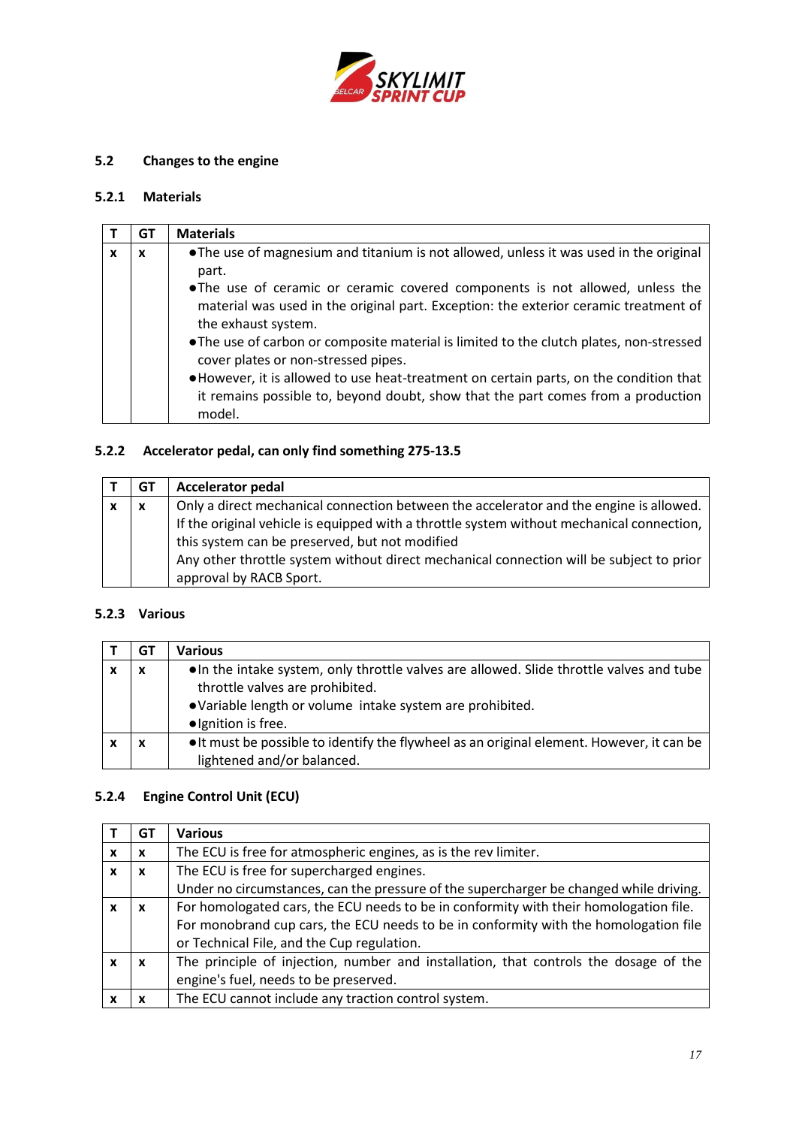

# **5.2 Changes to the engine**

## **5.2.1 Materials**

|   | GТ | <b>Materials</b>                                                                                                                                                                                                                                                                                                                                                                                                                                                                                                                                                                                                |
|---|----|-----------------------------------------------------------------------------------------------------------------------------------------------------------------------------------------------------------------------------------------------------------------------------------------------------------------------------------------------------------------------------------------------------------------------------------------------------------------------------------------------------------------------------------------------------------------------------------------------------------------|
| x | X  | • The use of magnesium and titanium is not allowed, unless it was used in the original<br>part.<br>• The use of ceramic or ceramic covered components is not allowed, unless the<br>material was used in the original part. Exception: the exterior ceramic treatment of<br>the exhaust system.<br>• The use of carbon or composite material is limited to the clutch plates, non-stressed<br>cover plates or non-stressed pipes.<br>. However, it is allowed to use heat-treatment on certain parts, on the condition that<br>it remains possible to, beyond doubt, show that the part comes from a production |
|   |    | model.                                                                                                                                                                                                                                                                                                                                                                                                                                                                                                                                                                                                          |

# **5.2.2 Accelerator pedal, can only find something 275-13.5**

| GT | <b>Accelerator pedal</b>                                                                  |
|----|-------------------------------------------------------------------------------------------|
| X  | Only a direct mechanical connection between the accelerator and the engine is allowed.    |
|    | If the original vehicle is equipped with a throttle system without mechanical connection, |
|    | this system can be preserved, but not modified                                            |
|    | Any other throttle system without direct mechanical connection will be subject to prior   |
|    | approval by RACB Sport.                                                                   |

## **5.2.3 Various**

| GT | Various                                                                                                                                                                                                        |
|----|----------------------------------------------------------------------------------------------------------------------------------------------------------------------------------------------------------------|
|    | . In the intake system, only throttle valves are allowed. Slide throttle valves and tube<br>throttle valves are prohibited.<br>• Variable length or volume intake system are prohibited.<br>·Ignition is free. |
|    | • It must be possible to identify the flywheel as an original element. However, it can be<br>lightened and/or balanced.                                                                                        |

# **5.2.4 Engine Control Unit (ECU)**

|   | G1 | <b>Various</b>                                                                         |  |
|---|----|----------------------------------------------------------------------------------------|--|
| x | x  | The ECU is free for atmospheric engines, as is the rev limiter.                        |  |
|   | x  | The ECU is free for supercharged engines.                                              |  |
|   |    | Under no circumstances, can the pressure of the supercharger be changed while driving. |  |
|   | x  | For homologated cars, the ECU needs to be in conformity with their homologation file.  |  |
|   |    | For monobrand cup cars, the ECU needs to be in conformity with the homologation file   |  |
|   |    | or Technical File, and the Cup regulation.                                             |  |
|   | x  | The principle of injection, number and installation, that controls the dosage of the   |  |
|   |    | engine's fuel, needs to be preserved.                                                  |  |
|   |    | The ECU cannot include any traction control system.                                    |  |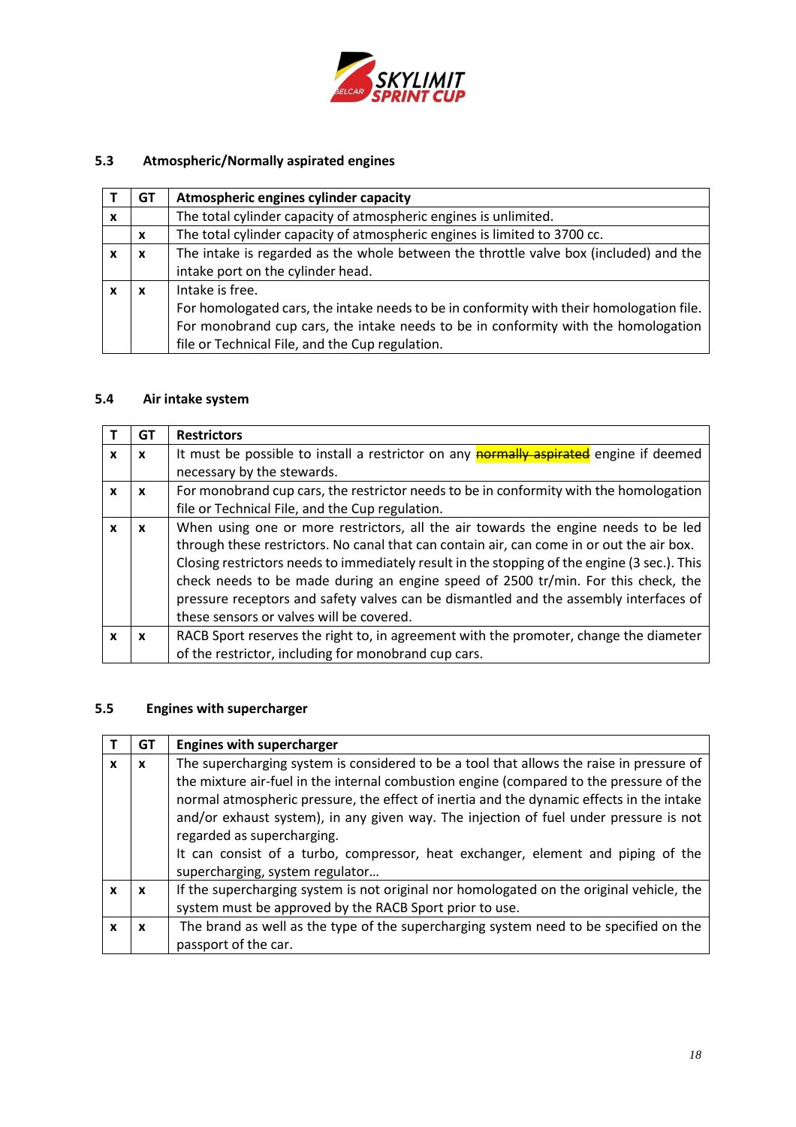

# **5.3 Atmospheric/Normally aspirated engines**

|   | GT | Atmospheric engines cylinder capacity                                                    |  |
|---|----|------------------------------------------------------------------------------------------|--|
| x |    | The total cylinder capacity of atmospheric engines is unlimited.                         |  |
|   | X  | The total cylinder capacity of atmospheric engines is limited to 3700 cc.                |  |
|   | x  | The intake is regarded as the whole between the throttle valve box (included) and the    |  |
|   |    | intake port on the cylinder head.                                                        |  |
|   | x  | Intake is free.                                                                          |  |
|   |    | For homologated cars, the intake needs to be in conformity with their homologation file. |  |
|   |    | For monobrand cup cars, the intake needs to be in conformity with the homologation       |  |
|   |    | file or Technical File, and the Cup regulation.                                          |  |

# **5.4 Air intake system**

|   | GТ | <b>Restrictors</b>                                                                            |
|---|----|-----------------------------------------------------------------------------------------------|
| X | X  | It must be possible to install a restrictor on any <b>normally aspirated</b> engine if deemed |
|   |    | necessary by the stewards.                                                                    |
| x | X  | For monobrand cup cars, the restrictor needs to be in conformity with the homologation        |
|   |    | file or Technical File, and the Cup regulation.                                               |
| X | x  | When using one or more restrictors, all the air towards the engine needs to be led            |
|   |    | through these restrictors. No canal that can contain air, can come in or out the air box.     |
|   |    | Closing restrictors needs to immediately result in the stopping of the engine (3 sec.). This  |
|   |    | check needs to be made during an engine speed of 2500 tr/min. For this check, the             |
|   |    | pressure receptors and safety valves can be dismantled and the assembly interfaces of         |
|   |    | these sensors or valves will be covered.                                                      |
| x | X  | RACB Sport reserves the right to, in agreement with the promoter, change the diameter         |
|   |    | of the restrictor, including for monobrand cup cars.                                          |

## **5.5 Engines with supercharger**

|   | GТ | <b>Engines with supercharger</b>                                                         |
|---|----|------------------------------------------------------------------------------------------|
| x | x  | The supercharging system is considered to be a tool that allows the raise in pressure of |
|   |    | the mixture air-fuel in the internal combustion engine (compared to the pressure of the  |
|   |    | normal atmospheric pressure, the effect of inertia and the dynamic effects in the intake |
|   |    | and/or exhaust system), in any given way. The injection of fuel under pressure is not    |
|   |    | regarded as supercharging.                                                               |
|   |    | It can consist of a turbo, compressor, heat exchanger, element and piping of the         |
|   |    | supercharging, system regulator                                                          |
| x | X  | If the supercharging system is not original nor homologated on the original vehicle, the |
|   |    | system must be approved by the RACB Sport prior to use.                                  |
|   | x  | The brand as well as the type of the supercharging system need to be specified on the    |
|   |    | passport of the car.                                                                     |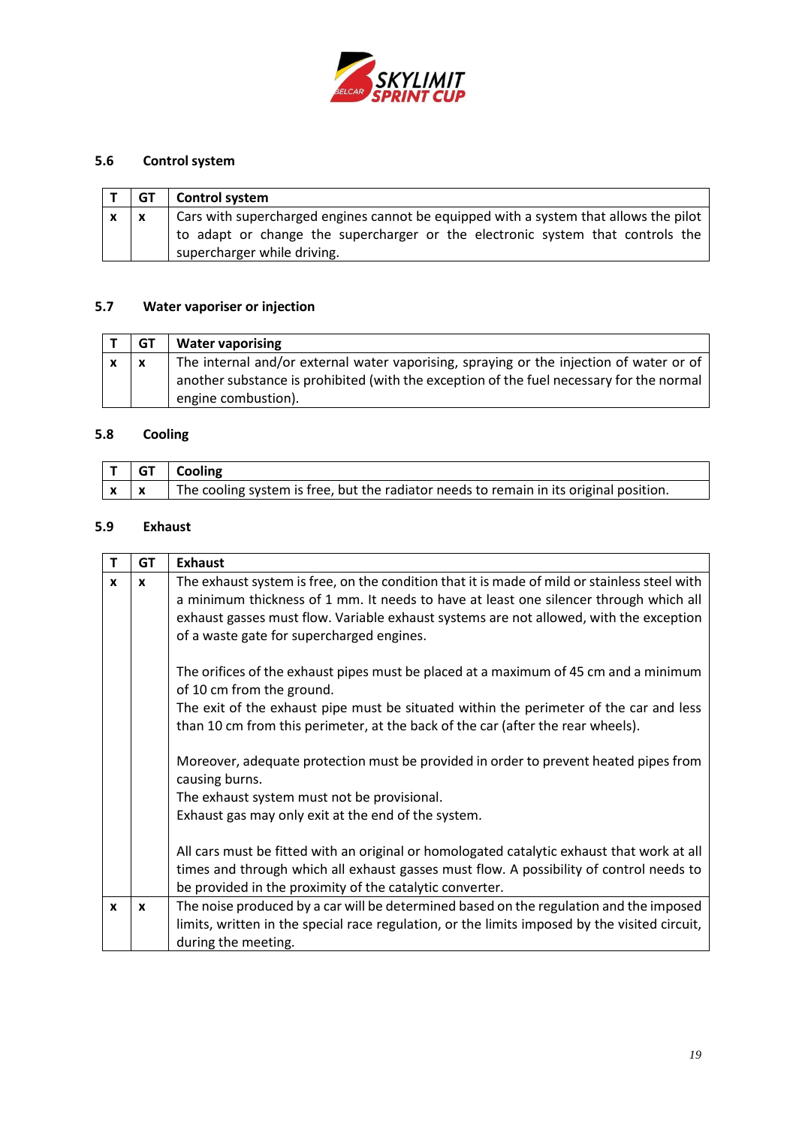

# **5.6 Control system**

| GT | Control system                                                                                                                                                                                         |
|----|--------------------------------------------------------------------------------------------------------------------------------------------------------------------------------------------------------|
|    | Cars with supercharged engines cannot be equipped with a system that allows the pilot<br>to adapt or change the supercharger or the electronic system that controls the<br>supercharger while driving. |

# **5.7 Water vaporiser or injection**

| GT          | <b>Water vaporising</b>                                                                  |
|-------------|------------------------------------------------------------------------------------------|
| $\mathbf v$ | The internal and/or external water vaporising, spraying or the injection of water or of  |
|             | another substance is prohibited (with the exception of the fuel necessary for the normal |
|             | engine combustion).                                                                      |

# **5.8 Cooling**

|            | $\vert$ T $\vert$ GT $\vert$ Cooling                                                   |
|------------|----------------------------------------------------------------------------------------|
| $x \times$ | The cooling system is free, but the radiator needs to remain in its original position. |

# **5.9 Exhaust**

| т            | <b>GT</b>    | <b>Exhaust</b>                                                                                                                                                                                                                                                                                                               |
|--------------|--------------|------------------------------------------------------------------------------------------------------------------------------------------------------------------------------------------------------------------------------------------------------------------------------------------------------------------------------|
| X            | $\mathbf{x}$ | The exhaust system is free, on the condition that it is made of mild or stainless steel with<br>a minimum thickness of 1 mm. It needs to have at least one silencer through which all<br>exhaust gasses must flow. Variable exhaust systems are not allowed, with the exception<br>of a waste gate for supercharged engines. |
|              |              | The orifices of the exhaust pipes must be placed at a maximum of 45 cm and a minimum<br>of 10 cm from the ground.<br>The exit of the exhaust pipe must be situated within the perimeter of the car and less<br>than 10 cm from this perimeter, at the back of the car (after the rear wheels).                               |
|              |              | Moreover, adequate protection must be provided in order to prevent heated pipes from<br>causing burns.<br>The exhaust system must not be provisional.<br>Exhaust gas may only exit at the end of the system.                                                                                                                 |
|              |              | All cars must be fitted with an original or homologated catalytic exhaust that work at all<br>times and through which all exhaust gasses must flow. A possibility of control needs to<br>be provided in the proximity of the catalytic converter.                                                                            |
| $\mathbf{x}$ | $\mathbf{x}$ | The noise produced by a car will be determined based on the regulation and the imposed<br>limits, written in the special race regulation, or the limits imposed by the visited circuit,<br>during the meeting.                                                                                                               |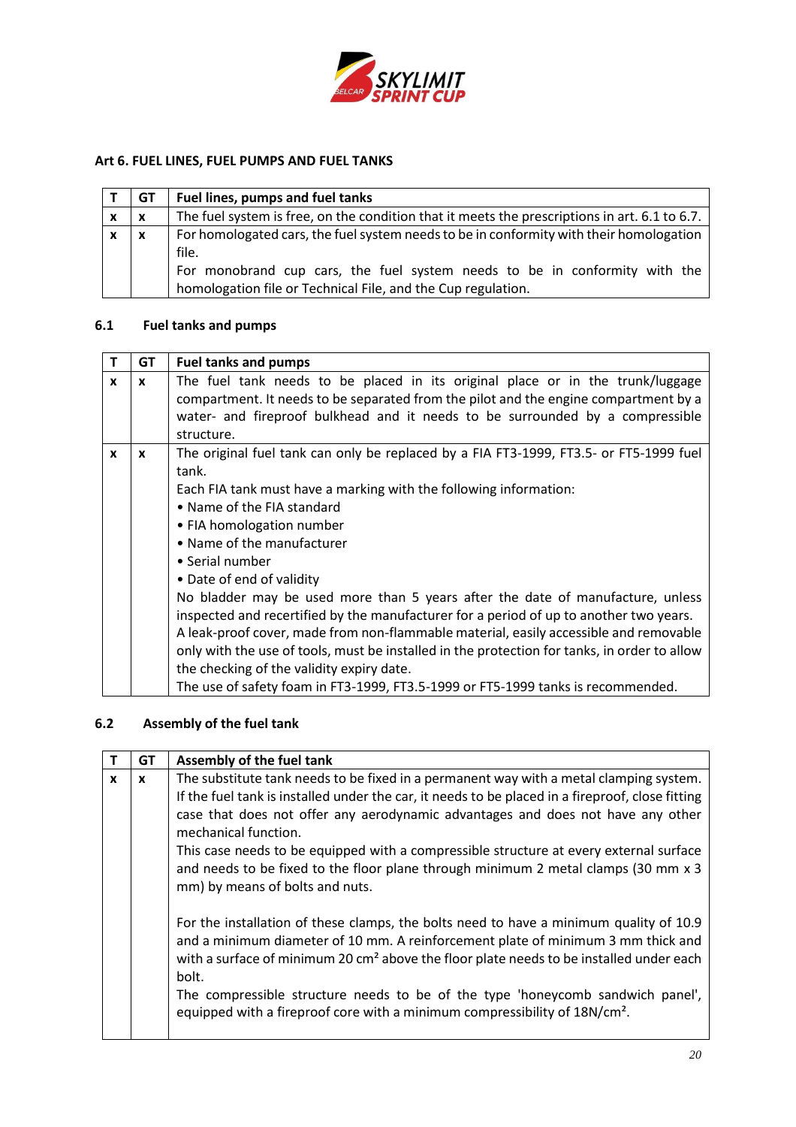

## <span id="page-19-0"></span>**Art 6. FUEL LINES, FUEL PUMPS AND FUEL TANKS**

|                           | GТ           | Fuel lines, pumps and fuel tanks                                                                                                                                                                                                               |
|---------------------------|--------------|------------------------------------------------------------------------------------------------------------------------------------------------------------------------------------------------------------------------------------------------|
| x                         | $\mathbf{x}$ | The fuel system is free, on the condition that it meets the prescriptions in art. 6.1 to 6.7.                                                                                                                                                  |
| $\boldsymbol{\mathsf{x}}$ | $\mathbf{x}$ | For homologated cars, the fuel system needs to be in conformity with their homologation<br>file.<br>For monobrand cup cars, the fuel system needs to be in conformity with the<br>homologation file or Technical File, and the Cup regulation. |

# **6.1 Fuel tanks and pumps**

| T | <b>GT</b> | <b>Fuel tanks and pumps</b>                                                                  |
|---|-----------|----------------------------------------------------------------------------------------------|
| x | X         | The fuel tank needs to be placed in its original place or in the trunk/luggage               |
|   |           | compartment. It needs to be separated from the pilot and the engine compartment by a         |
|   |           | water- and fireproof bulkhead and it needs to be surrounded by a compressible                |
|   |           | structure.                                                                                   |
| X | X         | The original fuel tank can only be replaced by a FIA FT3-1999, FT3.5- or FT5-1999 fuel       |
|   |           | tank.                                                                                        |
|   |           | Each FIA tank must have a marking with the following information:                            |
|   |           | • Name of the FIA standard                                                                   |
|   |           | • FIA homologation number                                                                    |
|   |           | • Name of the manufacturer                                                                   |
|   |           | • Serial number                                                                              |
|   |           | • Date of end of validity                                                                    |
|   |           | No bladder may be used more than 5 years after the date of manufacture, unless               |
|   |           | inspected and recertified by the manufacturer for a period of up to another two years.       |
|   |           | A leak-proof cover, made from non-flammable material, easily accessible and removable        |
|   |           | only with the use of tools, must be installed in the protection for tanks, in order to allow |
|   |           | the checking of the validity expiry date.                                                    |
|   |           | The use of safety foam in FT3-1999, FT3.5-1999 or FT5-1999 tanks is recommended.             |

## **6.2 Assembly of the fuel tank**

|              | <b>GT</b>    | Assembly of the fuel tank                                                                                                                                                                                                                                                                                                                                                                                                                                                                                                 |
|--------------|--------------|---------------------------------------------------------------------------------------------------------------------------------------------------------------------------------------------------------------------------------------------------------------------------------------------------------------------------------------------------------------------------------------------------------------------------------------------------------------------------------------------------------------------------|
| $\mathbf{x}$ | $\mathbf{x}$ | The substitute tank needs to be fixed in a permanent way with a metal clamping system.<br>If the fuel tank is installed under the car, it needs to be placed in a fireproof, close fitting<br>case that does not offer any aerodynamic advantages and does not have any other<br>mechanical function.<br>This case needs to be equipped with a compressible structure at every external surface<br>and needs to be fixed to the floor plane through minimum 2 metal clamps (30 mm x 3)<br>mm) by means of bolts and nuts. |
|              |              | For the installation of these clamps, the bolts need to have a minimum quality of 10.9<br>and a minimum diameter of 10 mm. A reinforcement plate of minimum 3 mm thick and<br>with a surface of minimum 20 cm <sup>2</sup> above the floor plate needs to be installed under each<br>bolt.<br>The compressible structure needs to be of the type 'honeycomb sandwich panel',<br>equipped with a fireproof core with a minimum compressibility of 18N/cm <sup>2</sup> .                                                    |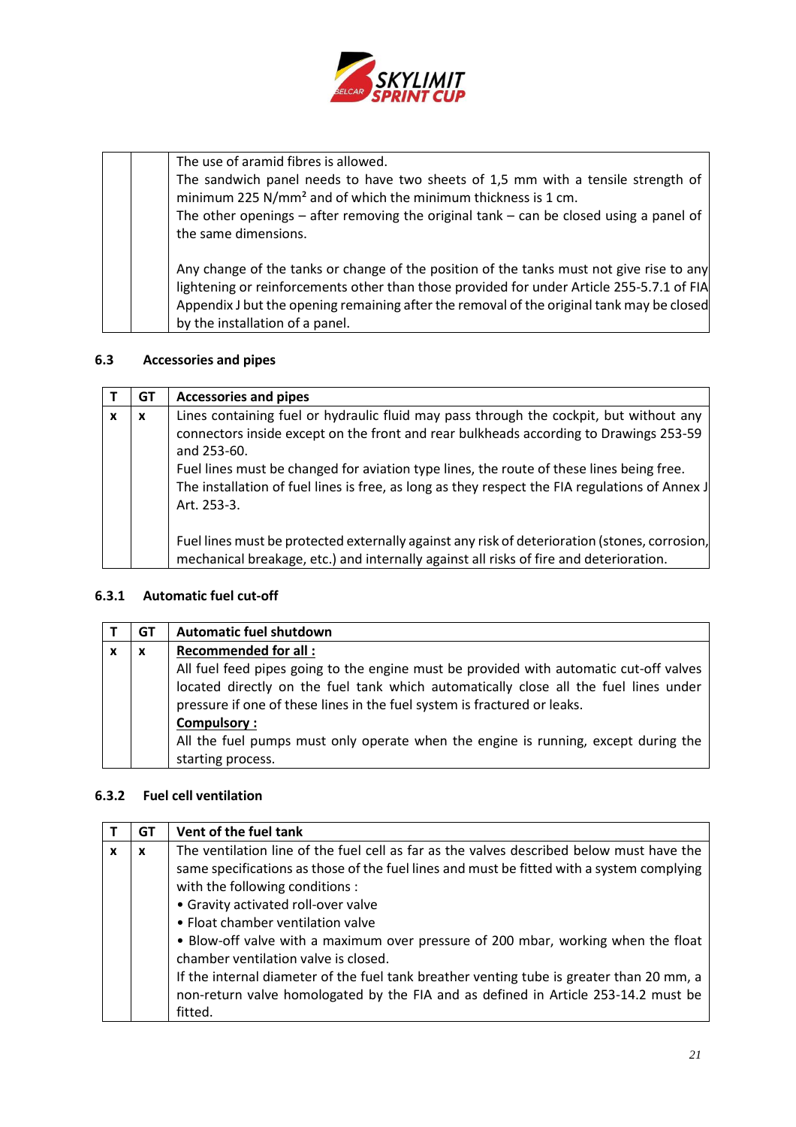

| The use of aramid fibres is allowed.<br>The sandwich panel needs to have two sheets of 1,5 mm with a tensile strength of<br>minimum 225 N/mm <sup>2</sup> and of which the minimum thickness is 1 cm.<br>The other openings $-$ after removing the original tank $-$ can be closed using a panel of<br>the same dimensions. |
|-----------------------------------------------------------------------------------------------------------------------------------------------------------------------------------------------------------------------------------------------------------------------------------------------------------------------------|
| Any change of the tanks or change of the position of the tanks must not give rise to any<br>lightening or reinforcements other than those provided for under Article 255-5.7.1 of FIA<br>Appendix J but the opening remaining after the removal of the original tank may be closed<br>by the installation of a panel.       |

# **6.3 Accessories and pipes**

|   | GT | <b>Accessories and pipes</b>                                                                                                                                                                                                                                                                                                                                                                                |
|---|----|-------------------------------------------------------------------------------------------------------------------------------------------------------------------------------------------------------------------------------------------------------------------------------------------------------------------------------------------------------------------------------------------------------------|
| X | X  | Lines containing fuel or hydraulic fluid may pass through the cockpit, but without any<br>connectors inside except on the front and rear bulkheads according to Drawings 253-59<br>and 253-60.<br>Fuel lines must be changed for aviation type lines, the route of these lines being free.<br>The installation of fuel lines is free, as long as they respect the FIA regulations of Annex J<br>Art. 253-3. |
|   |    | Fuel lines must be protected externally against any risk of deterioration (stones, corrosion,<br>mechanical breakage, etc.) and internally against all risks of fire and deterioration.                                                                                                                                                                                                                     |

## **6.3.1 Automatic fuel cut-off**

| GT | <b>Automatic fuel shutdown</b>                                                         |
|----|----------------------------------------------------------------------------------------|
| X  | <b>Recommended for all:</b>                                                            |
|    | All fuel feed pipes going to the engine must be provided with automatic cut-off valves |
|    | located directly on the fuel tank which automatically close all the fuel lines under   |
|    | pressure if one of these lines in the fuel system is fractured or leaks.               |
|    | <b>Compulsory:</b>                                                                     |
|    | All the fuel pumps must only operate when the engine is running, except during the     |
|    | starting process.                                                                      |

## **6.3.2 Fuel cell ventilation**

|   | GТ | Vent of the fuel tank                                                                     |
|---|----|-------------------------------------------------------------------------------------------|
| X | x  | The ventilation line of the fuel cell as far as the valves described below must have the  |
|   |    | same specifications as those of the fuel lines and must be fitted with a system complying |
|   |    | with the following conditions :                                                           |
|   |    | • Gravity activated roll-over valve                                                       |
|   |    | • Float chamber ventilation valve                                                         |
|   |    | • Blow-off valve with a maximum over pressure of 200 mbar, working when the float         |
|   |    | chamber ventilation valve is closed.                                                      |
|   |    | If the internal diameter of the fuel tank breather venting tube is greater than 20 mm, a  |
|   |    | non-return valve homologated by the FIA and as defined in Article 253-14.2 must be        |
|   |    | fitted.                                                                                   |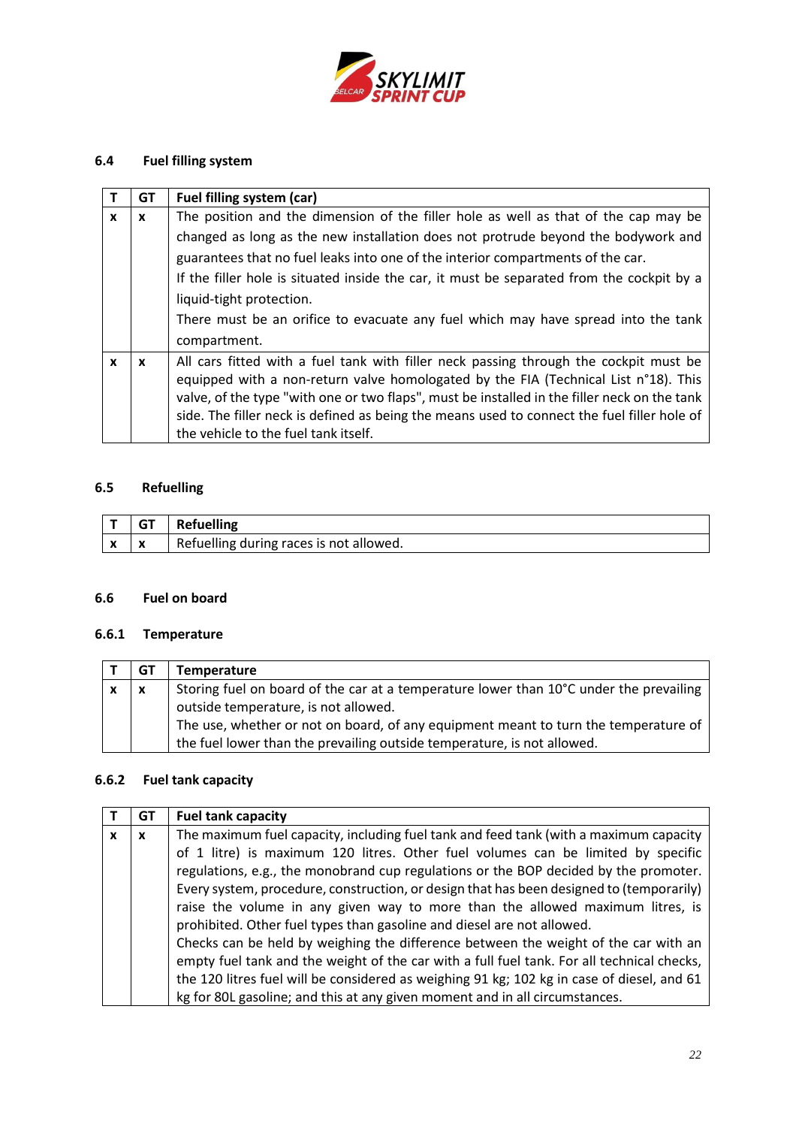

# **6.4 Fuel filling system**

|              | GT | Fuel filling system (car)                                                                    |
|--------------|----|----------------------------------------------------------------------------------------------|
| $\mathbf{x}$ | X  | The position and the dimension of the filler hole as well as that of the cap may be          |
|              |    | changed as long as the new installation does not protrude beyond the bodywork and            |
|              |    | guarantees that no fuel leaks into one of the interior compartments of the car.              |
|              |    | If the filler hole is situated inside the car, it must be separated from the cockpit by a    |
|              |    | liquid-tight protection.                                                                     |
|              |    | There must be an orifice to evacuate any fuel which may have spread into the tank            |
|              |    | compartment.                                                                                 |
| X            | X  | All cars fitted with a fuel tank with filler neck passing through the cockpit must be        |
|              |    | equipped with a non-return valve homologated by the FIA (Technical List n°18). This          |
|              |    | valve, of the type "with one or two flaps", must be installed in the filler neck on the tank |
|              |    | side. The filler neck is defined as being the means used to connect the fuel filler hole of  |
|              |    | the vehicle to the fuel tank itself.                                                         |

# **6.5 Refuelling**

|                          |   | <b>Refuelling</b>                       |
|--------------------------|---|-----------------------------------------|
| $\overline{\phantom{a}}$ | X | Refuelling during races is not allowed. |

## **6.6 Fuel on board**

# **6.6.1 Temperature**

| GT                        | Temperature                                                                            |
|---------------------------|----------------------------------------------------------------------------------------|
| $\boldsymbol{\mathsf{x}}$ | Storing fuel on board of the car at a temperature lower than 10°C under the prevailing |
|                           | outside temperature, is not allowed.                                                   |
|                           | The use, whether or not on board, of any equipment meant to turn the temperature of    |
|                           | the fuel lower than the prevailing outside temperature, is not allowed.                |

# **6.6.2 Fuel tank capacity**

|   | GT | <b>Fuel tank capacity</b>                                                                  |
|---|----|--------------------------------------------------------------------------------------------|
| X | X  | The maximum fuel capacity, including fuel tank and feed tank (with a maximum capacity      |
|   |    | of 1 litre) is maximum 120 litres. Other fuel volumes can be limited by specific           |
|   |    | regulations, e.g., the monobrand cup regulations or the BOP decided by the promoter.       |
|   |    | Every system, procedure, construction, or design that has been designed to (temporarily)   |
|   |    | raise the volume in any given way to more than the allowed maximum litres, is              |
|   |    | prohibited. Other fuel types than gasoline and diesel are not allowed.                     |
|   |    | Checks can be held by weighing the difference between the weight of the car with an        |
|   |    | empty fuel tank and the weight of the car with a full fuel tank. For all technical checks, |
|   |    | the 120 litres fuel will be considered as weighing 91 kg; 102 kg in case of diesel, and 61 |
|   |    | kg for 80L gasoline; and this at any given moment and in all circumstances.                |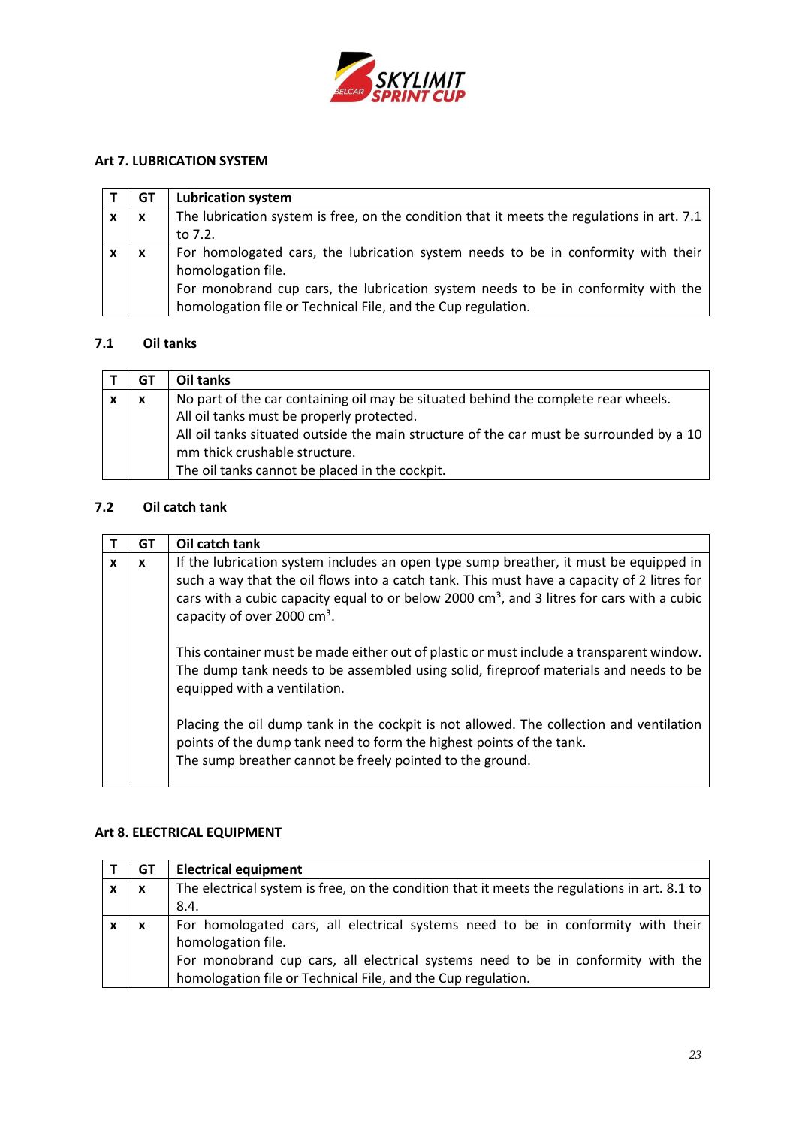

## <span id="page-22-0"></span>**Art 7. LUBRICATION SYSTEM**

|   | GT                        | <b>Lubrication system</b>                                                                  |
|---|---------------------------|--------------------------------------------------------------------------------------------|
| X | $\boldsymbol{\mathsf{x}}$ | The lubrication system is free, on the condition that it meets the regulations in art. 7.1 |
|   |                           | to 7.2.                                                                                    |
| x | X                         | For homologated cars, the lubrication system needs to be in conformity with their          |
|   |                           | homologation file.                                                                         |
|   |                           | For monobrand cup cars, the lubrication system needs to be in conformity with the          |
|   |                           | homologation file or Technical File, and the Cup regulation.                               |

## **7.1 Oil tanks**

|   | GT               | Oil tanks                                                                               |
|---|------------------|-----------------------------------------------------------------------------------------|
| x | $\boldsymbol{x}$ | No part of the car containing oil may be situated behind the complete rear wheels.      |
|   |                  | All oil tanks must be properly protected.                                               |
|   |                  | All oil tanks situated outside the main structure of the car must be surrounded by a 10 |
|   |                  | mm thick crushable structure.                                                           |
|   |                  | The oil tanks cannot be placed in the cockpit.                                          |

## **7.2 Oil catch tank**

|   | GТ | Oil catch tank                                                                                                                                                                                                                                                                                                                         |
|---|----|----------------------------------------------------------------------------------------------------------------------------------------------------------------------------------------------------------------------------------------------------------------------------------------------------------------------------------------|
| X | X  | If the lubrication system includes an open type sump breather, it must be equipped in<br>such a way that the oil flows into a catch tank. This must have a capacity of 2 litres for<br>cars with a cubic capacity equal to or below 2000 $\text{cm}^3$ , and 3 litres for cars with a cubic<br>capacity of over 2000 cm <sup>3</sup> . |
|   |    | This container must be made either out of plastic or must include a transparent window.<br>The dump tank needs to be assembled using solid, fireproof materials and needs to be<br>equipped with a ventilation.                                                                                                                        |
|   |    | Placing the oil dump tank in the cockpit is not allowed. The collection and ventilation<br>points of the dump tank need to form the highest points of the tank.<br>The sump breather cannot be freely pointed to the ground.                                                                                                           |

# <span id="page-22-1"></span>**Art 8. ELECTRICAL EQUIPMENT**

|   | GТ | <b>Electrical equipment</b>                                                                  |
|---|----|----------------------------------------------------------------------------------------------|
| X | X  | The electrical system is free, on the condition that it meets the regulations in art. 8.1 to |
|   |    | 8.4.                                                                                         |
| x | x  | For homologated cars, all electrical systems need to be in conformity with their             |
|   |    | homologation file.                                                                           |
|   |    | For monobrand cup cars, all electrical systems need to be in conformity with the             |
|   |    | homologation file or Technical File, and the Cup regulation.                                 |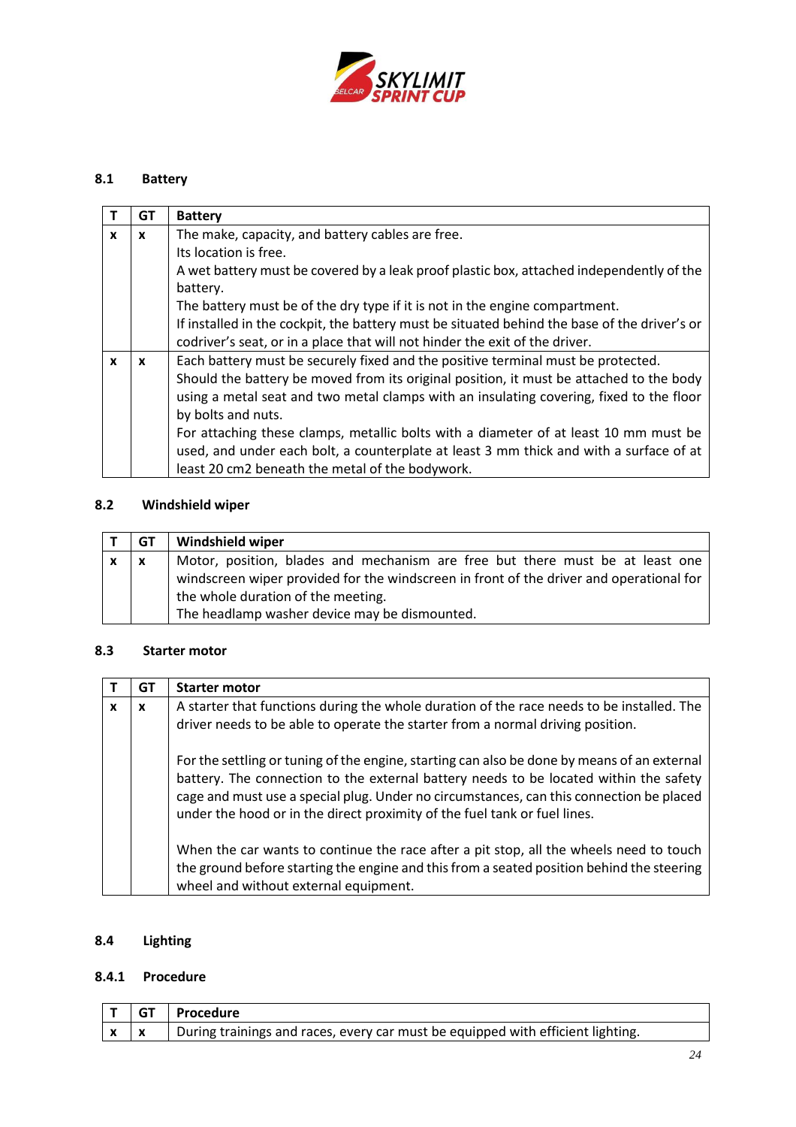

# **8.1 Battery**

|              | GТ           | <b>Battery</b>                                                                               |
|--------------|--------------|----------------------------------------------------------------------------------------------|
| $\mathbf{x}$ | $\mathbf{x}$ | The make, capacity, and battery cables are free.                                             |
|              |              | Its location is free.                                                                        |
|              |              | A wet battery must be covered by a leak proof plastic box, attached independently of the     |
|              |              | battery.                                                                                     |
|              |              | The battery must be of the dry type if it is not in the engine compartment.                  |
|              |              | If installed in the cockpit, the battery must be situated behind the base of the driver's or |
|              |              | codriver's seat, or in a place that will not hinder the exit of the driver.                  |
| $\mathbf{x}$ | x            | Each battery must be securely fixed and the positive terminal must be protected.             |
|              |              | Should the battery be moved from its original position, it must be attached to the body      |
|              |              | using a metal seat and two metal clamps with an insulating covering, fixed to the floor      |
|              |              | by bolts and nuts.                                                                           |
|              |              | For attaching these clamps, metallic bolts with a diameter of at least 10 mm must be         |
|              |              | used, and under each bolt, a counterplate at least 3 mm thick and with a surface of at       |
|              |              | least 20 cm2 beneath the metal of the bodywork.                                              |

## **8.2 Windshield wiper**

| GT                        | <b>Windshield wiper</b>                                                                                                                                                                                                                                         |
|---------------------------|-----------------------------------------------------------------------------------------------------------------------------------------------------------------------------------------------------------------------------------------------------------------|
| $\boldsymbol{\mathsf{x}}$ | Motor, position, blades and mechanism are free but there must be at least one<br>windscreen wiper provided for the windscreen in front of the driver and operational for<br>the whole duration of the meeting.<br>The headlamp washer device may be dismounted. |

### **8.3 Starter motor**

|   | GT | <b>Starter motor</b>                                                                                                                                                                                                                                                                                                                                         |
|---|----|--------------------------------------------------------------------------------------------------------------------------------------------------------------------------------------------------------------------------------------------------------------------------------------------------------------------------------------------------------------|
| x | X  | A starter that functions during the whole duration of the race needs to be installed. The<br>driver needs to be able to operate the starter from a normal driving position.                                                                                                                                                                                  |
|   |    | For the settling or tuning of the engine, starting can also be done by means of an external<br>battery. The connection to the external battery needs to be located within the safety<br>cage and must use a special plug. Under no circumstances, can this connection be placed<br>under the hood or in the direct proximity of the fuel tank or fuel lines. |
|   |    | When the car wants to continue the race after a pit stop, all the wheels need to touch<br>the ground before starting the engine and this from a seated position behind the steering<br>wheel and without external equipment.                                                                                                                                 |

# **8.4 Lighting**

## **8.4.1 Procedure**

|            | T   GT   Procedure                                                              |
|------------|---------------------------------------------------------------------------------|
| $x \mid x$ | During trainings and races, every car must be equipped with efficient lighting. |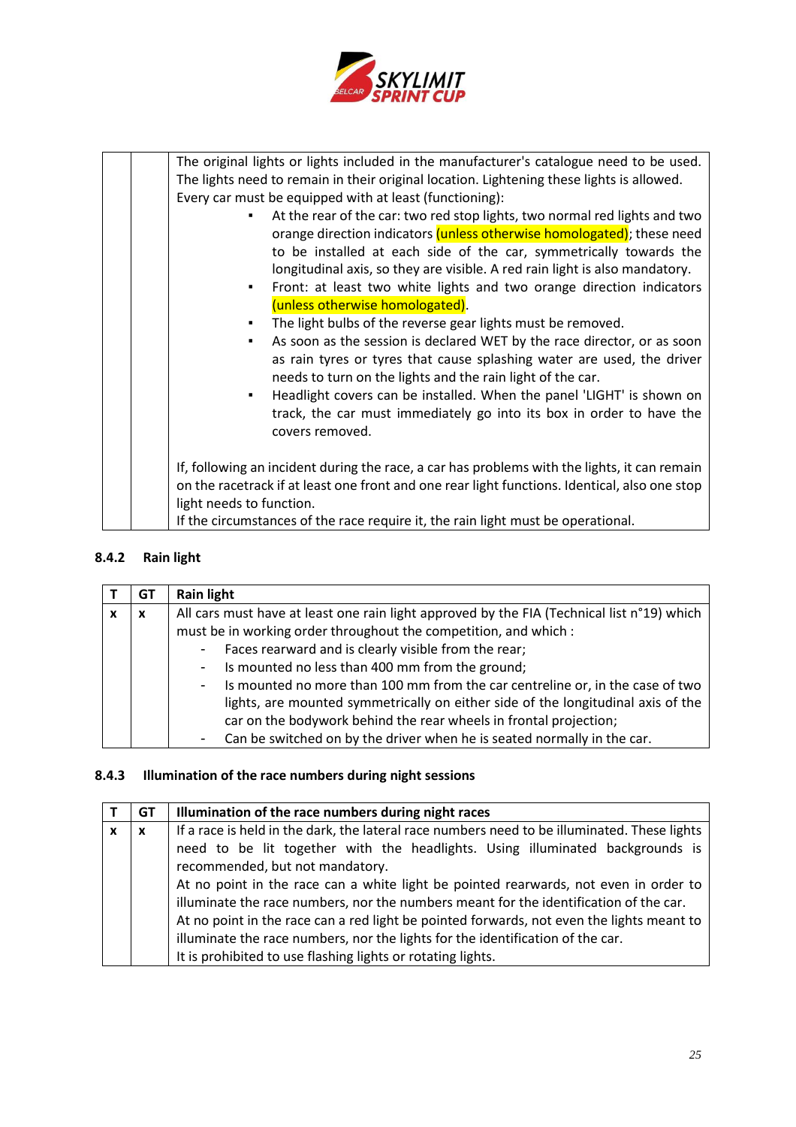

|  | The original lights or lights included in the manufacturer's catalogue need to be used.       |
|--|-----------------------------------------------------------------------------------------------|
|  | The lights need to remain in their original location. Lightening these lights is allowed.     |
|  | Every car must be equipped with at least (functioning):                                       |
|  | At the rear of the car: two red stop lights, two normal red lights and two<br>٠               |
|  | orange direction indicators (unless otherwise homologated); these need                        |
|  | to be installed at each side of the car, symmetrically towards the                            |
|  | longitudinal axis, so they are visible. A red rain light is also mandatory.                   |
|  | Front: at least two white lights and two orange direction indicators<br>٠                     |
|  | (unless otherwise homologated).                                                               |
|  | The light bulbs of the reverse gear lights must be removed.<br>٠                              |
|  | As soon as the session is declared WET by the race director, or as soon<br>٠                  |
|  | as rain tyres or tyres that cause splashing water are used, the driver                        |
|  | needs to turn on the lights and the rain light of the car.                                    |
|  | Headlight covers can be installed. When the panel 'LIGHT' is shown on<br>٠                    |
|  | track, the car must immediately go into its box in order to have the                          |
|  | covers removed.                                                                               |
|  |                                                                                               |
|  | If, following an incident during the race, a car has problems with the lights, it can remain  |
|  | on the racetrack if at least one front and one rear light functions. Identical, also one stop |
|  | light needs to function.                                                                      |
|  | If the circumstances of the race require it, the rain light must be operational.              |

# **8.4.2 Rain light**

|   | GT | <b>Rain light</b>                                                                           |
|---|----|---------------------------------------------------------------------------------------------|
| X | х  | All cars must have at least one rain light approved by the FIA (Technical list n°19) which  |
|   |    | must be in working order throughout the competition, and which :                            |
|   |    | - Faces rearward and is clearly visible from the rear;                                      |
|   |    | - Is mounted no less than 400 mm from the ground;                                           |
|   |    | Is mounted no more than 100 mm from the car centreline or, in the case of two<br>$\sim 100$ |
|   |    | lights, are mounted symmetrically on either side of the longitudinal axis of the            |
|   |    | car on the bodywork behind the rear wheels in frontal projection;                           |
|   |    | Can be switched on by the driver when he is seated normally in the car.                     |

# **8.4.3 Illumination of the race numbers during night sessions**

|   | GT | Illumination of the race numbers during night races                                          |
|---|----|----------------------------------------------------------------------------------------------|
| X | X  | If a race is held in the dark, the lateral race numbers need to be illuminated. These lights |
|   |    | need to be lit together with the headlights. Using illuminated backgrounds is                |
|   |    | recommended, but not mandatory.                                                              |
|   |    | At no point in the race can a white light be pointed rearwards, not even in order to         |
|   |    | illuminate the race numbers, nor the numbers meant for the identification of the car.        |
|   |    | At no point in the race can a red light be pointed forwards, not even the lights meant to    |
|   |    | illuminate the race numbers, nor the lights for the identification of the car.               |
|   |    | It is prohibited to use flashing lights or rotating lights.                                  |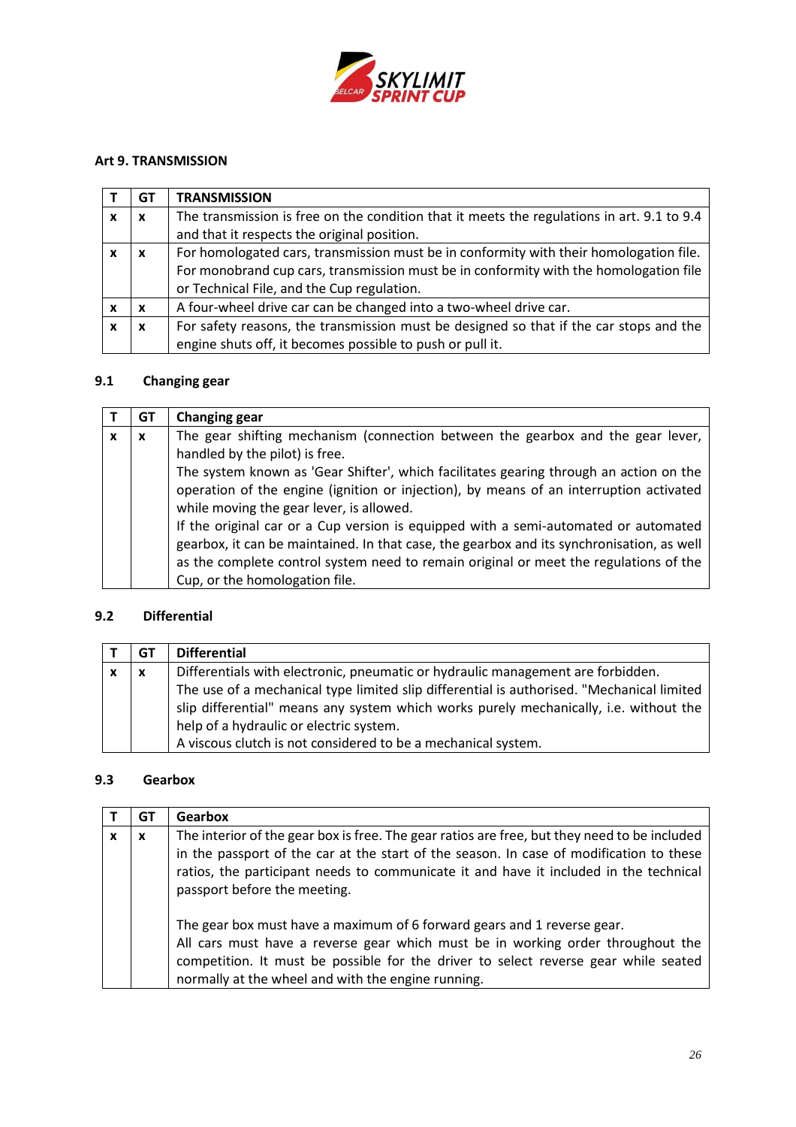

## <span id="page-25-0"></span>**Art 9. TRANSMISSION**

| GT | <b>TRANSMISSION</b>                                                                        |
|----|--------------------------------------------------------------------------------------------|
| X  | The transmission is free on the condition that it meets the regulations in art. 9.1 to 9.4 |
|    | and that it respects the original position.                                                |
| x  | For homologated cars, transmission must be in conformity with their homologation file.     |
|    | For monobrand cup cars, transmission must be in conformity with the homologation file      |
|    | or Technical File, and the Cup regulation.                                                 |
| x  | A four-wheel drive car can be changed into a two-wheel drive car.                          |
| x  | For safety reasons, the transmission must be designed so that if the car stops and the     |
|    | engine shuts off, it becomes possible to push or pull it.                                  |

# **9.1 Changing gear**

|              | GT | <b>Changing gear</b>                                                                      |
|--------------|----|-------------------------------------------------------------------------------------------|
| $\mathbf{x}$ | X  | The gear shifting mechanism (connection between the gearbox and the gear lever,           |
|              |    | handled by the pilot) is free.                                                            |
|              |    | The system known as 'Gear Shifter', which facilitates gearing through an action on the    |
|              |    | operation of the engine (ignition or injection), by means of an interruption activated    |
|              |    | while moving the gear lever, is allowed.                                                  |
|              |    | If the original car or a Cup version is equipped with a semi-automated or automated       |
|              |    | gearbox, it can be maintained. In that case, the gearbox and its synchronisation, as well |
|              |    | as the complete control system need to remain original or meet the regulations of the     |
|              |    | Cup, or the homologation file.                                                            |

## **9.2 Differential**

| GT                        | <b>Differential</b>                                                                       |
|---------------------------|-------------------------------------------------------------------------------------------|
| $\boldsymbol{\mathsf{x}}$ | Differentials with electronic, pneumatic or hydraulic management are forbidden.           |
|                           | The use of a mechanical type limited slip differential is authorised. "Mechanical limited |
|                           | slip differential" means any system which works purely mechanically, i.e. without the     |
|                           | help of a hydraulic or electric system.                                                   |
|                           | A viscous clutch is not considered to be a mechanical system.                             |

## **9.3 Gearbox**

| GT | Gearbox                                                                                                                                                                                                                                                                                                          |
|----|------------------------------------------------------------------------------------------------------------------------------------------------------------------------------------------------------------------------------------------------------------------------------------------------------------------|
| x  | The interior of the gear box is free. The gear ratios are free, but they need to be included<br>in the passport of the car at the start of the season. In case of modification to these<br>ratios, the participant needs to communicate it and have it included in the technical<br>passport before the meeting. |
|    | The gear box must have a maximum of 6 forward gears and 1 reverse gear.<br>All cars must have a reverse gear which must be in working order throughout the<br>competition. It must be possible for the driver to select reverse gear while seated<br>normally at the wheel and with the engine running.          |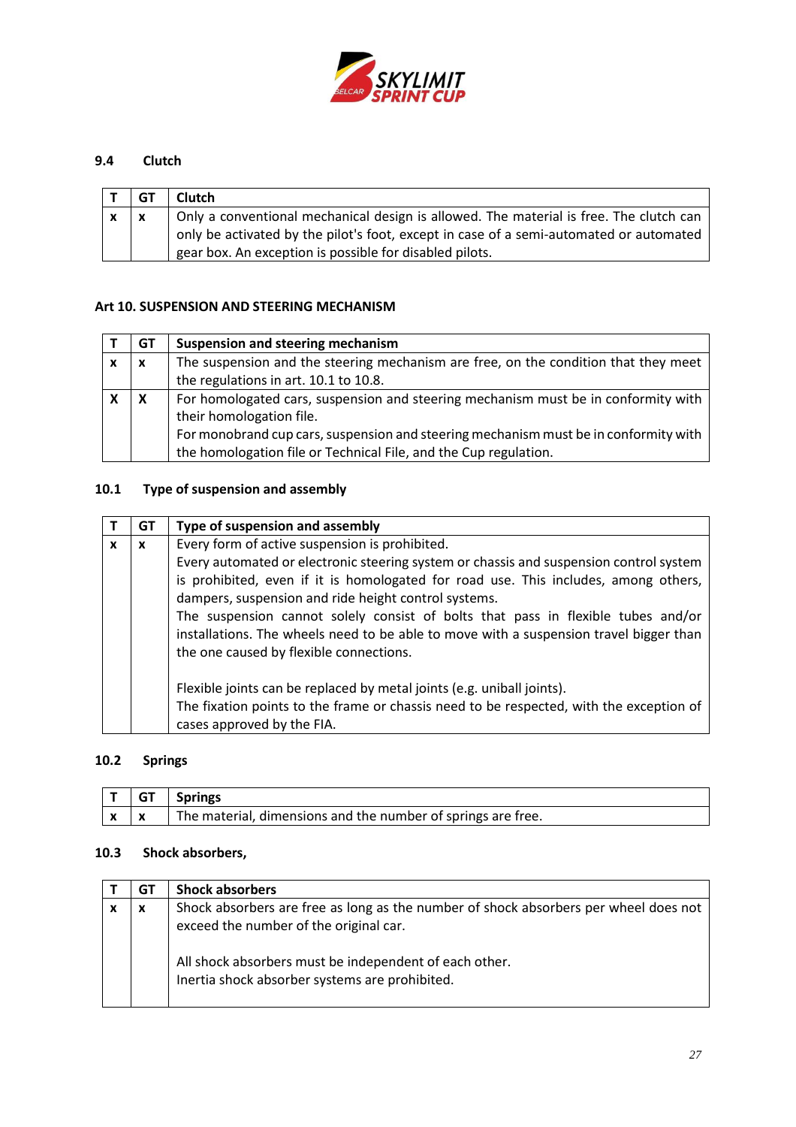

# **9.4 Clutch**

| GT | Clutch                                                                                 |
|----|----------------------------------------------------------------------------------------|
|    | Only a conventional mechanical design is allowed. The material is free. The clutch can |
|    | only be activated by the pilot's foot, except in case of a semi-automated or automated |
|    | gear box. An exception is possible for disabled pilots.                                |

## <span id="page-26-0"></span>**Art 10. SUSPENSION AND STEERING MECHANISM**

|   | GТ | <b>Suspension and steering mechanism</b>                                             |
|---|----|--------------------------------------------------------------------------------------|
| X | X  | The suspension and the steering mechanism are free, on the condition that they meet  |
|   |    | the regulations in art. 10.1 to 10.8.                                                |
|   | X  | For homologated cars, suspension and steering mechanism must be in conformity with   |
|   |    | their homologation file.                                                             |
|   |    | For monobrand cup cars, suspension and steering mechanism must be in conformity with |
|   |    | the homologation file or Technical File, and the Cup regulation.                     |

# **10.1 Type of suspension and assembly**

|   | GT | Type of suspension and assembly                                                         |
|---|----|-----------------------------------------------------------------------------------------|
| x | x  | Every form of active suspension is prohibited.                                          |
|   |    | Every automated or electronic steering system or chassis and suspension control system  |
|   |    | is prohibited, even if it is homologated for road use. This includes, among others,     |
|   |    | dampers, suspension and ride height control systems.                                    |
|   |    | The suspension cannot solely consist of bolts that pass in flexible tubes and/or        |
|   |    | installations. The wheels need to be able to move with a suspension travel bigger than  |
|   |    | the one caused by flexible connections.                                                 |
|   |    |                                                                                         |
|   |    | Flexible joints can be replaced by metal joints (e.g. uniball joints).                  |
|   |    | The fixation points to the frame or chassis need to be respected, with the exception of |
|   |    | cases approved by the FIA.                                                              |

## **10.2 Springs**

| - GT | <b>Springs</b>                                               |
|------|--------------------------------------------------------------|
|      | The material, dimensions and the number of springs are free. |

# **10.3 Shock absorbers,**

| GT | <b>Shock absorbers</b>                                                                                                                                                                   |
|----|------------------------------------------------------------------------------------------------------------------------------------------------------------------------------------------|
| х  | Shock absorbers are free as long as the number of shock absorbers per wheel does not<br>exceed the number of the original car.<br>All shock absorbers must be independent of each other. |
|    | Inertia shock absorber systems are prohibited.                                                                                                                                           |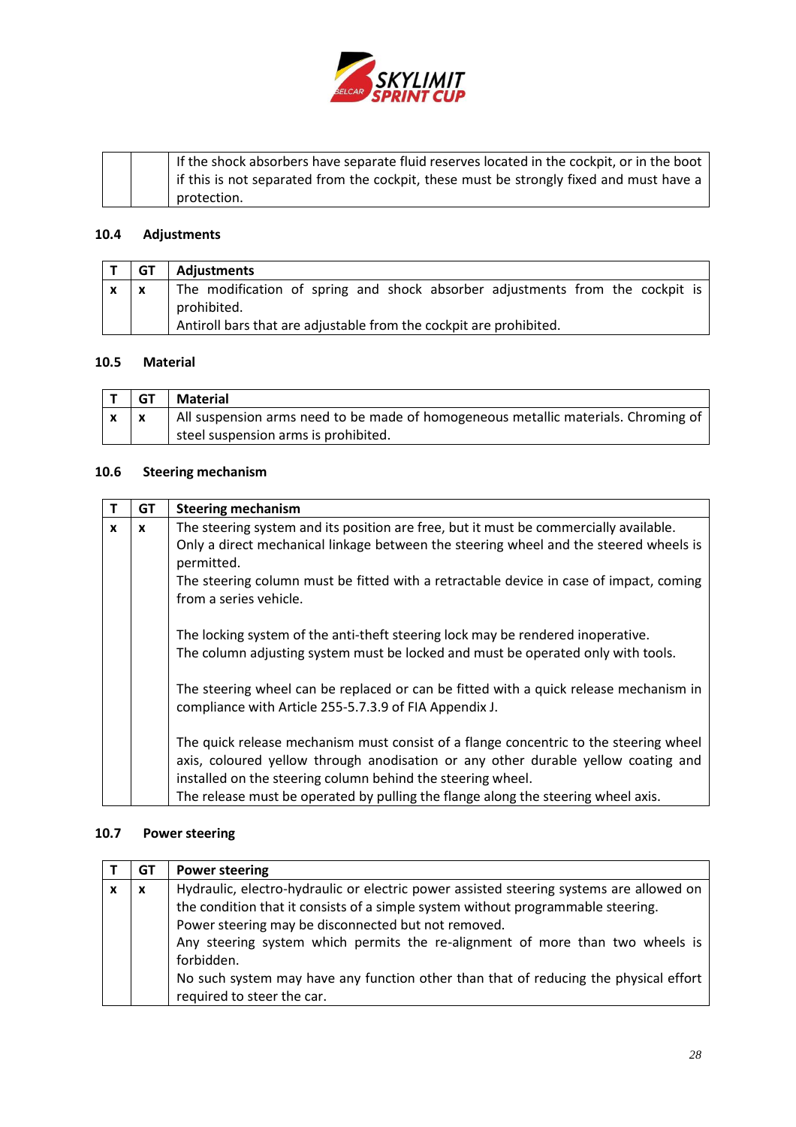

|  | If the shock absorbers have separate fluid reserves located in the cockpit, or in the boot |
|--|--------------------------------------------------------------------------------------------|
|  | if this is not separated from the cockpit, these must be strongly fixed and must have a    |
|  | protection.                                                                                |

# **10.4 Adjustments**

| ⊢GT | Adiustments                                                                   |
|-----|-------------------------------------------------------------------------------|
|     | The modification of spring and shock absorber adjustments from the cockpit is |
|     | prohibited.                                                                   |
|     | Antiroll bars that are adjustable from the cockpit are prohibited.            |

## **10.5 Material**

|              | l GT | Material                                                                           |
|--------------|------|------------------------------------------------------------------------------------|
| $\mathbf{x}$ |      | All suspension arms need to be made of homogeneous metallic materials. Chroming of |
|              |      | steel suspension arms is prohibited.                                               |

# **10.6 Steering mechanism**

| $\mathsf{T}$ | GT           | <b>Steering mechanism</b>                                                                                                                                                  |
|--------------|--------------|----------------------------------------------------------------------------------------------------------------------------------------------------------------------------|
| $\mathbf x$  | $\mathbf{x}$ | The steering system and its position are free, but it must be commercially available.                                                                                      |
|              |              | Only a direct mechanical linkage between the steering wheel and the steered wheels is<br>permitted.                                                                        |
|              |              | The steering column must be fitted with a retractable device in case of impact, coming                                                                                     |
|              |              | from a series vehicle.                                                                                                                                                     |
|              |              | The locking system of the anti-theft steering lock may be rendered inoperative.                                                                                            |
|              |              | The column adjusting system must be locked and must be operated only with tools.                                                                                           |
|              |              | The steering wheel can be replaced or can be fitted with a quick release mechanism in<br>compliance with Article 255-5.7.3.9 of FIA Appendix J.                            |
|              |              | The quick release mechanism must consist of a flange concentric to the steering wheel<br>axis, coloured yellow through anodisation or any other durable yellow coating and |
|              |              | installed on the steering column behind the steering wheel.                                                                                                                |
|              |              | The release must be operated by pulling the flange along the steering wheel axis.                                                                                          |

# **10.7 Power steering**

| GT | <b>Power steering</b>                                                                                                                                                                                                                                                                                                                                                                                                                                   |
|----|---------------------------------------------------------------------------------------------------------------------------------------------------------------------------------------------------------------------------------------------------------------------------------------------------------------------------------------------------------------------------------------------------------------------------------------------------------|
| X  | Hydraulic, electro-hydraulic or electric power assisted steering systems are allowed on<br>the condition that it consists of a simple system without programmable steering.<br>Power steering may be disconnected but not removed.<br>Any steering system which permits the re-alignment of more than two wheels is<br>forbidden.<br>No such system may have any function other than that of reducing the physical effort<br>required to steer the car. |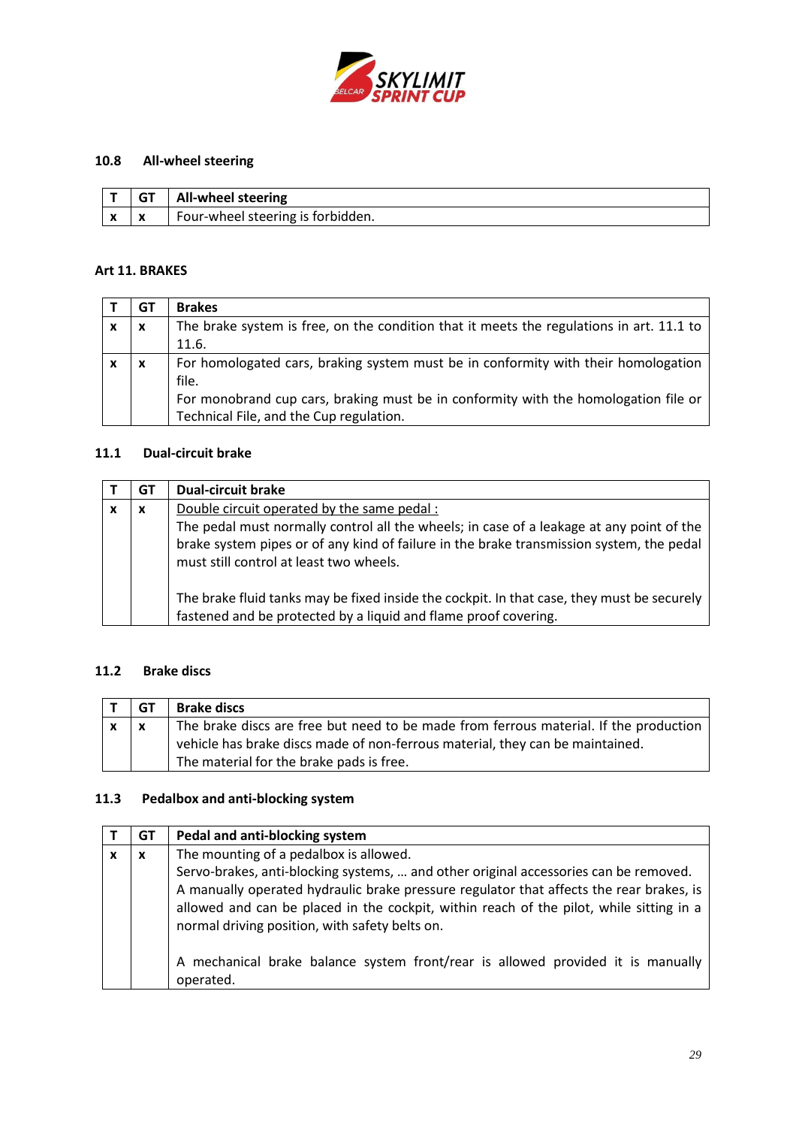

# **10.8 All-wheel steering**

|                          | <b>All-wheel steering</b>         |
|--------------------------|-----------------------------------|
| $\overline{\phantom{a}}$ | Four-wheel steering is forbidden. |

## <span id="page-28-0"></span>**Art 11. BRAKES**

|                           | GT                        | <b>Brakes</b>                                                                            |
|---------------------------|---------------------------|------------------------------------------------------------------------------------------|
| $\boldsymbol{\mathsf{x}}$ | $\boldsymbol{\mathsf{x}}$ | The brake system is free, on the condition that it meets the regulations in art. 11.1 to |
|                           |                           | 11.6.                                                                                    |
| $\boldsymbol{\mathsf{x}}$ | X                         | For homologated cars, braking system must be in conformity with their homologation       |
|                           |                           | file.                                                                                    |
|                           |                           | For monobrand cup cars, braking must be in conformity with the homologation file or      |
|                           |                           | Technical File, and the Cup regulation.                                                  |

## **11.1 Dual-circuit brake**

| GT | <b>Dual-circuit brake</b>                                                                                                                                                                                                                                                      |
|----|--------------------------------------------------------------------------------------------------------------------------------------------------------------------------------------------------------------------------------------------------------------------------------|
| X  | Double circuit operated by the same pedal :<br>The pedal must normally control all the wheels; in case of a leakage at any point of the<br>brake system pipes or of any kind of failure in the brake transmission system, the pedal<br>must still control at least two wheels. |
|    | The brake fluid tanks may be fixed inside the cockpit. In that case, they must be securely<br>fastened and be protected by a liquid and flame proof covering.                                                                                                                  |

## **11.2 Brake discs**

| GТ | <b>Brake discs</b>                                                                    |
|----|---------------------------------------------------------------------------------------|
|    | The brake discs are free but need to be made from ferrous material. If the production |
|    | vehicle has brake discs made of non-ferrous material, they can be maintained.         |
|    | The material for the brake pads is free.                                              |

# **11.3 Pedalbox and anti-blocking system**

|   | GT | Pedal and anti-blocking system                                                                                                                                                                                                                                                                                               |
|---|----|------------------------------------------------------------------------------------------------------------------------------------------------------------------------------------------------------------------------------------------------------------------------------------------------------------------------------|
| x | X  | The mounting of a pedalbox is allowed.                                                                                                                                                                                                                                                                                       |
|   |    | Servo-brakes, anti-blocking systems,  and other original accessories can be removed.<br>A manually operated hydraulic brake pressure regulator that affects the rear brakes, is<br>allowed and can be placed in the cockpit, within reach of the pilot, while sitting in a<br>normal driving position, with safety belts on. |
|   |    | A mechanical brake balance system front/rear is allowed provided it is manually<br>operated.                                                                                                                                                                                                                                 |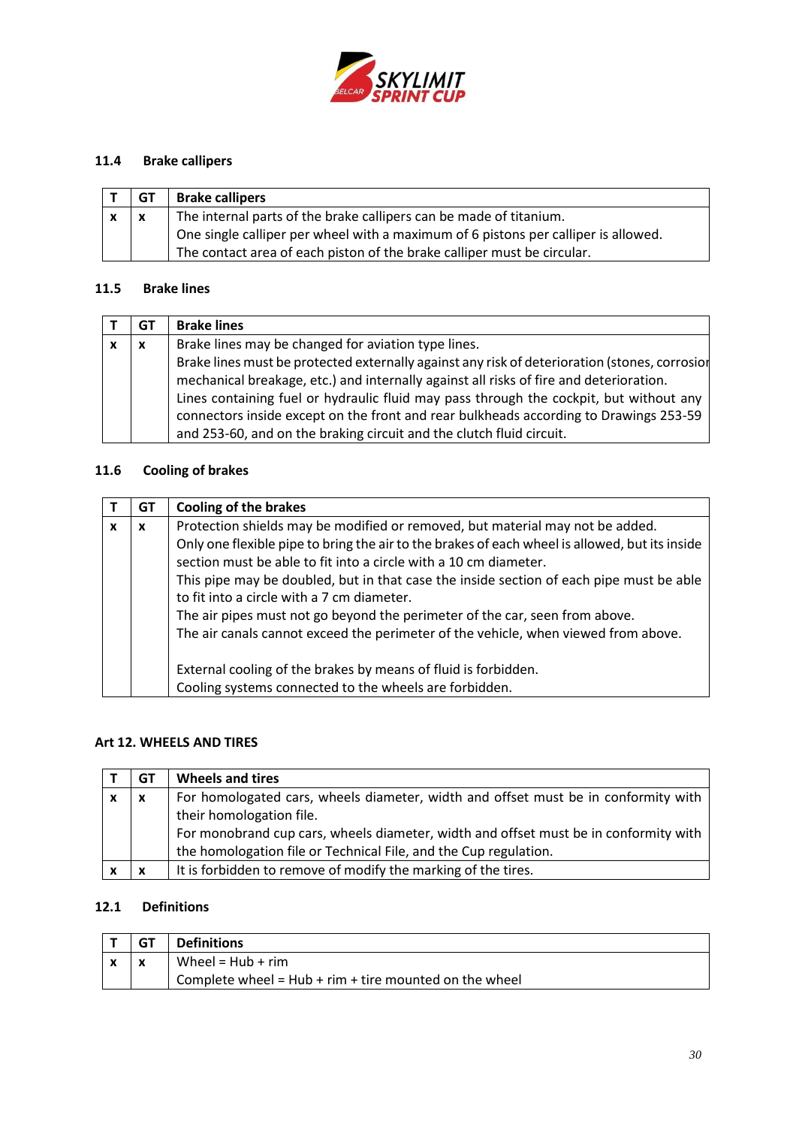

# **11.4 Brake callipers**

| GT                        | <b>Brake callipers</b>                                                             |
|---------------------------|------------------------------------------------------------------------------------|
| $\boldsymbol{\mathsf{x}}$ | The internal parts of the brake callipers can be made of titanium.                 |
|                           | One single calliper per wheel with a maximum of 6 pistons per calliper is allowed. |
|                           | The contact area of each piston of the brake calliper must be circular.            |

## **11.5 Brake lines**

| GT           | <b>Brake lines</b>                                                                            |
|--------------|-----------------------------------------------------------------------------------------------|
| $\mathbf{x}$ | Brake lines may be changed for aviation type lines.                                           |
|              | Brake lines must be protected externally against any risk of deterioration (stones, corrosion |
|              | mechanical breakage, etc.) and internally against all risks of fire and deterioration.        |
|              | Lines containing fuel or hydraulic fluid may pass through the cockpit, but without any        |
|              | connectors inside except on the front and rear bulkheads according to Drawings 253-59         |
|              | and 253-60, and on the braking circuit and the clutch fluid circuit.                          |

# **11.6 Cooling of brakes**

|   | GТ           | <b>Cooling of the brakes</b>                                                                   |
|---|--------------|------------------------------------------------------------------------------------------------|
| x | $\mathbf{x}$ | Protection shields may be modified or removed, but material may not be added.                  |
|   |              | Only one flexible pipe to bring the air to the brakes of each wheel is allowed, but its inside |
|   |              | section must be able to fit into a circle with a 10 cm diameter.                               |
|   |              | This pipe may be doubled, but in that case the inside section of each pipe must be able        |
|   |              | to fit into a circle with a 7 cm diameter.                                                     |
|   |              | The air pipes must not go beyond the perimeter of the car, seen from above.                    |
|   |              | The air canals cannot exceed the perimeter of the vehicle, when viewed from above.             |
|   |              |                                                                                                |
|   |              | External cooling of the brakes by means of fluid is forbidden.                                 |
|   |              | Cooling systems connected to the wheels are forbidden.                                         |

## <span id="page-29-0"></span>**Art 12. WHEELS AND TIRES**

|                           | GT           | <b>Wheels and tires</b>                                                              |
|---------------------------|--------------|--------------------------------------------------------------------------------------|
| $\boldsymbol{\mathsf{x}}$ | $\mathbf{x}$ | For homologated cars, wheels diameter, width and offset must be in conformity with   |
|                           |              | their homologation file.                                                             |
|                           |              | For monobrand cup cars, wheels diameter, width and offset must be in conformity with |
|                           |              | the homologation file or Technical File, and the Cup regulation.                     |
|                           | X            | It is forbidden to remove of modify the marking of the tires.                        |

## **12.1 Definitions**

|   | <b>Definitions</b>                                       |
|---|----------------------------------------------------------|
| X | Wheel = $Hub + rim$                                      |
|   | Complete wheel = $Hub + rim + tire$ mounted on the wheel |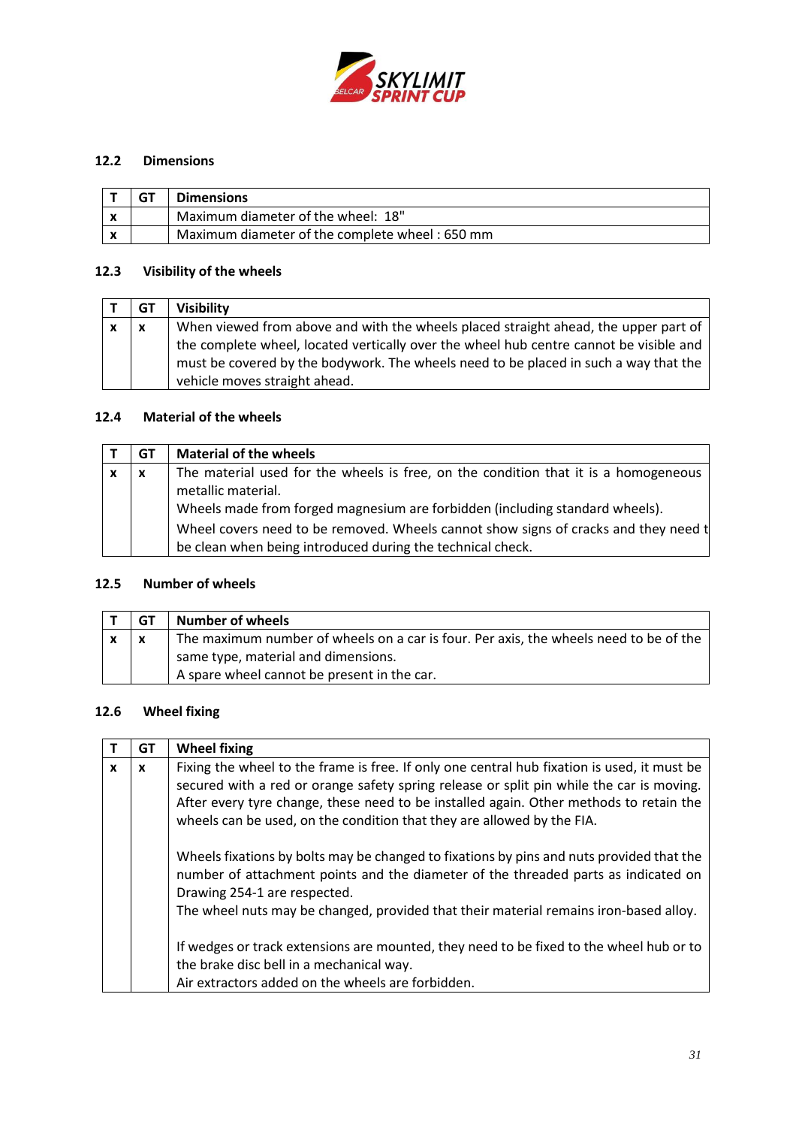

## **12.2 Dimensions**

|  | <b>Dimensions</b>                              |
|--|------------------------------------------------|
|  | Maximum diameter of the wheel: 18"             |
|  | Maximum diameter of the complete wheel: 650 mm |

## **12.3 Visibility of the wheels**

|   | GТ               | <b>Visibility</b>                                                                                                                                                                                               |
|---|------------------|-----------------------------------------------------------------------------------------------------------------------------------------------------------------------------------------------------------------|
| X | $\boldsymbol{x}$ | When viewed from above and with the wheels placed straight ahead, the upper part of                                                                                                                             |
|   |                  | the complete wheel, located vertically over the wheel hub centre cannot be visible and<br>must be covered by the bodywork. The wheels need to be placed in such a way that the<br>vehicle moves straight ahead. |

## **12.4 Material of the wheels**

| GT                        | <b>Material of the wheels</b>                                                       |
|---------------------------|-------------------------------------------------------------------------------------|
| $\boldsymbol{\mathsf{x}}$ | The material used for the wheels is free, on the condition that it is a homogeneous |
|                           | metallic material.                                                                  |
|                           | Wheels made from forged magnesium are forbidden (including standard wheels).        |
|                           | Wheel covers need to be removed. Wheels cannot show signs of cracks and they need t |
|                           | be clean when being introduced during the technical check.                          |

## **12.5 Number of wheels**

| GТ | <b>Number of wheels</b>                                                               |
|----|---------------------------------------------------------------------------------------|
|    | The maximum number of wheels on a car is four. Per axis, the wheels need to be of the |
|    | same type, material and dimensions.                                                   |
|    | A spare wheel cannot be present in the car.                                           |

## **12.6 Wheel fixing**

|              | GT           | <b>Wheel fixing</b>                                                                                                                                                                                                                                                                                                                                         |
|--------------|--------------|-------------------------------------------------------------------------------------------------------------------------------------------------------------------------------------------------------------------------------------------------------------------------------------------------------------------------------------------------------------|
| $\mathbf{x}$ | $\mathbf{x}$ | Fixing the wheel to the frame is free. If only one central hub fixation is used, it must be<br>secured with a red or orange safety spring release or split pin while the car is moving.<br>After every tyre change, these need to be installed again. Other methods to retain the<br>wheels can be used, on the condition that they are allowed by the FIA. |
|              |              | Wheels fixations by bolts may be changed to fixations by pins and nuts provided that the<br>number of attachment points and the diameter of the threaded parts as indicated on<br>Drawing 254-1 are respected.<br>The wheel nuts may be changed, provided that their material remains iron-based alloy.                                                     |
|              |              | If wedges or track extensions are mounted, they need to be fixed to the wheel hub or to<br>the brake disc bell in a mechanical way.<br>Air extractors added on the wheels are forbidden.                                                                                                                                                                    |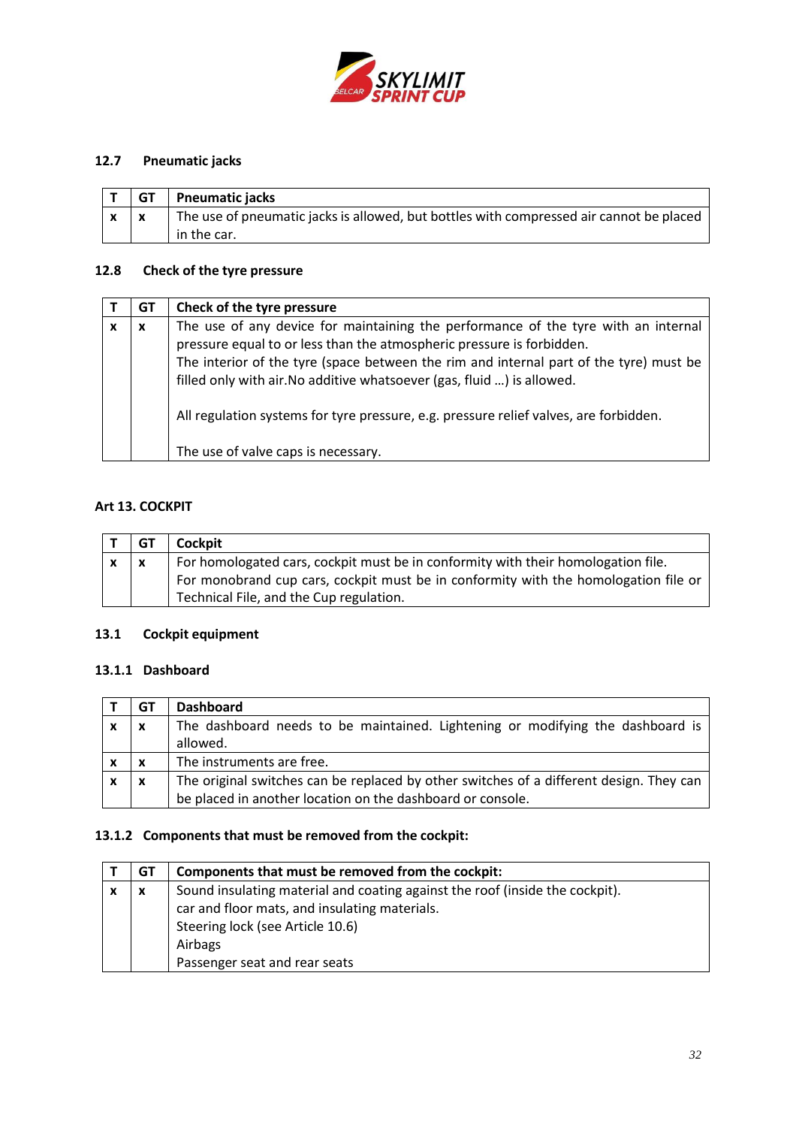

# **12.7 Pneumatic jacks**

| <b>GT</b> | <b>Pneumatic jacks</b>                                                                  |
|-----------|-----------------------------------------------------------------------------------------|
|           | The use of pneumatic jacks is allowed, but bottles with compressed air cannot be placed |
|           | in the car.                                                                             |

## **12.8 Check of the tyre pressure**

|   | GТ | Check of the tyre pressure                                                             |
|---|----|----------------------------------------------------------------------------------------|
| x | X  | The use of any device for maintaining the performance of the tyre with an internal     |
|   |    | pressure equal to or less than the atmospheric pressure is forbidden.                  |
|   |    | The interior of the tyre (space between the rim and internal part of the tyre) must be |
|   |    | filled only with air. No additive whatsoever (gas, fluid ) is allowed.                 |
|   |    | All regulation systems for tyre pressure, e.g. pressure relief valves, are forbidden.  |
|   |    | The use of valve caps is necessary.                                                    |

# <span id="page-31-0"></span>**Art 13. COCKPIT**

| GT | Cockpit                                                                             |
|----|-------------------------------------------------------------------------------------|
|    | For homologated cars, cockpit must be in conformity with their homologation file.   |
|    | For monobrand cup cars, cockpit must be in conformity with the homologation file or |
|    | Technical File, and the Cup regulation.                                             |

# **13.1 Cockpit equipment**

### **13.1.1 Dashboard**

| GТ | <b>Dashboard</b>                                                                        |
|----|-----------------------------------------------------------------------------------------|
| X  | The dashboard needs to be maintained. Lightening or modifying the dashboard is          |
|    | allowed.                                                                                |
| х  | The instruments are free.                                                               |
| X  | The original switches can be replaced by other switches of a different design. They can |
|    | be placed in another location on the dashboard or console.                              |

# **13.1.2 Components that must be removed from the cockpit:**

| GT | Components that must be removed from the cockpit:                            |
|----|------------------------------------------------------------------------------|
| X  | Sound insulating material and coating against the roof (inside the cockpit). |
|    | car and floor mats, and insulating materials.                                |
|    | Steering lock (see Article 10.6)                                             |
|    | Airbags                                                                      |
|    | Passenger seat and rear seats                                                |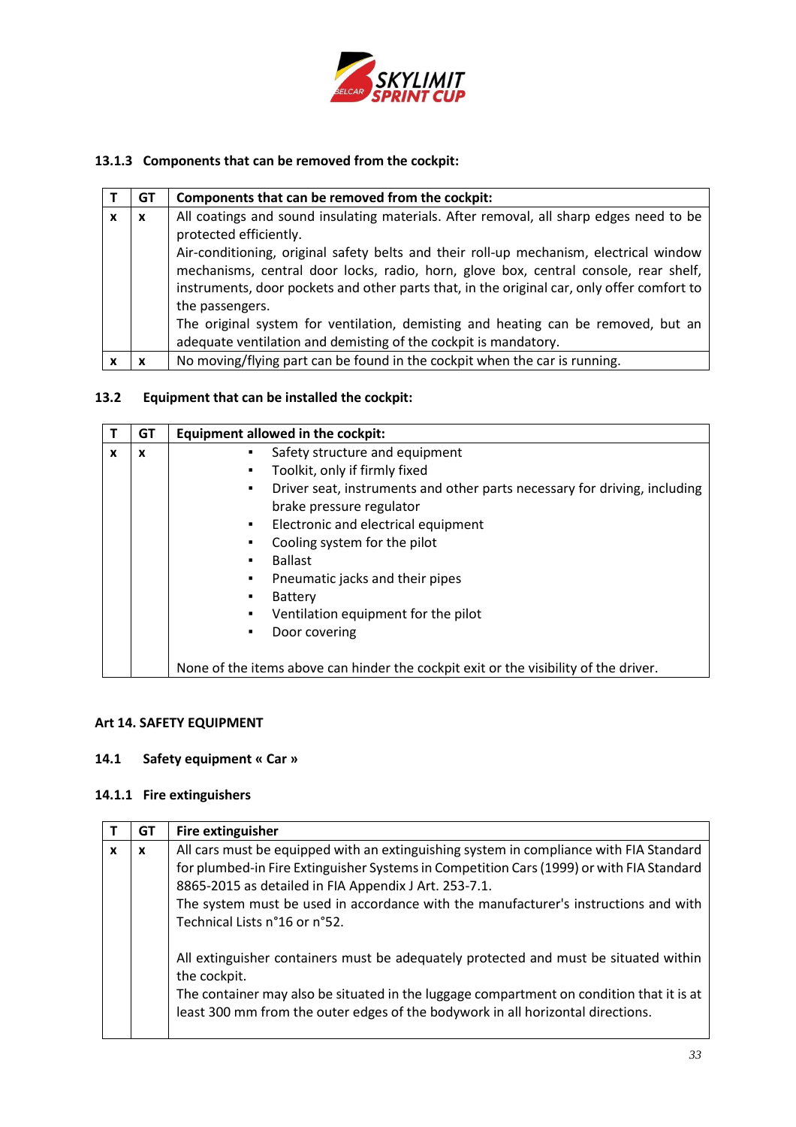

# **13.1.3 Components that can be removed from the cockpit:**

|   | GТ | Components that can be removed from the cockpit:                                           |
|---|----|--------------------------------------------------------------------------------------------|
| x | x  | All coatings and sound insulating materials. After removal, all sharp edges need to be     |
|   |    | protected efficiently.                                                                     |
|   |    | Air-conditioning, original safety belts and their roll-up mechanism, electrical window     |
|   |    | mechanisms, central door locks, radio, horn, glove box, central console, rear shelf,       |
|   |    | instruments, door pockets and other parts that, in the original car, only offer comfort to |
|   |    | the passengers.                                                                            |
|   |    | The original system for ventilation, demisting and heating can be removed, but an          |
|   |    | adequate ventilation and demisting of the cockpit is mandatory.                            |
|   |    | No moving/flying part can be found in the cockpit when the car is running.                 |

# **13.2 Equipment that can be installed the cockpit:**

|   | GT | <b>Equipment allowed in the cockpit:</b>                                             |
|---|----|--------------------------------------------------------------------------------------|
| x | X  | Safety structure and equipment<br>٠                                                  |
|   |    | Toolkit, only if firmly fixed<br>٠                                                   |
|   |    | Driver seat, instruments and other parts necessary for driving, including<br>٠       |
|   |    | brake pressure regulator                                                             |
|   |    | Electronic and electrical equipment<br>٠                                             |
|   |    | Cooling system for the pilot<br>٠                                                    |
|   |    | <b>Ballast</b><br>$\blacksquare$                                                     |
|   |    | Pneumatic jacks and their pipes<br>٠                                                 |
|   |    | <b>Battery</b><br>٠                                                                  |
|   |    | Ventilation equipment for the pilot<br>٠                                             |
|   |    | Door covering<br>٠                                                                   |
|   |    |                                                                                      |
|   |    | None of the items above can hinder the cockpit exit or the visibility of the driver. |

## <span id="page-32-0"></span>**Art 14. SAFETY EQUIPMENT**

# **14.1 Safety equipment « Car »**

# **14.1.1 Fire extinguishers**

|              | GT | Fire extinguisher                                                                                                                                                                                                                                                                                                                                                   |
|--------------|----|---------------------------------------------------------------------------------------------------------------------------------------------------------------------------------------------------------------------------------------------------------------------------------------------------------------------------------------------------------------------|
| $\mathbf{x}$ | X  | All cars must be equipped with an extinguishing system in compliance with FIA Standard<br>for plumbed-in Fire Extinguisher Systems in Competition Cars (1999) or with FIA Standard<br>8865-2015 as detailed in FIA Appendix J Art. 253-7.1.<br>The system must be used in accordance with the manufacturer's instructions and with<br>Technical Lists n°16 or n°52. |
|              |    | All extinguisher containers must be adequately protected and must be situated within<br>the cockpit.<br>The container may also be situated in the luggage compartment on condition that it is at<br>least 300 mm from the outer edges of the bodywork in all horizontal directions.                                                                                 |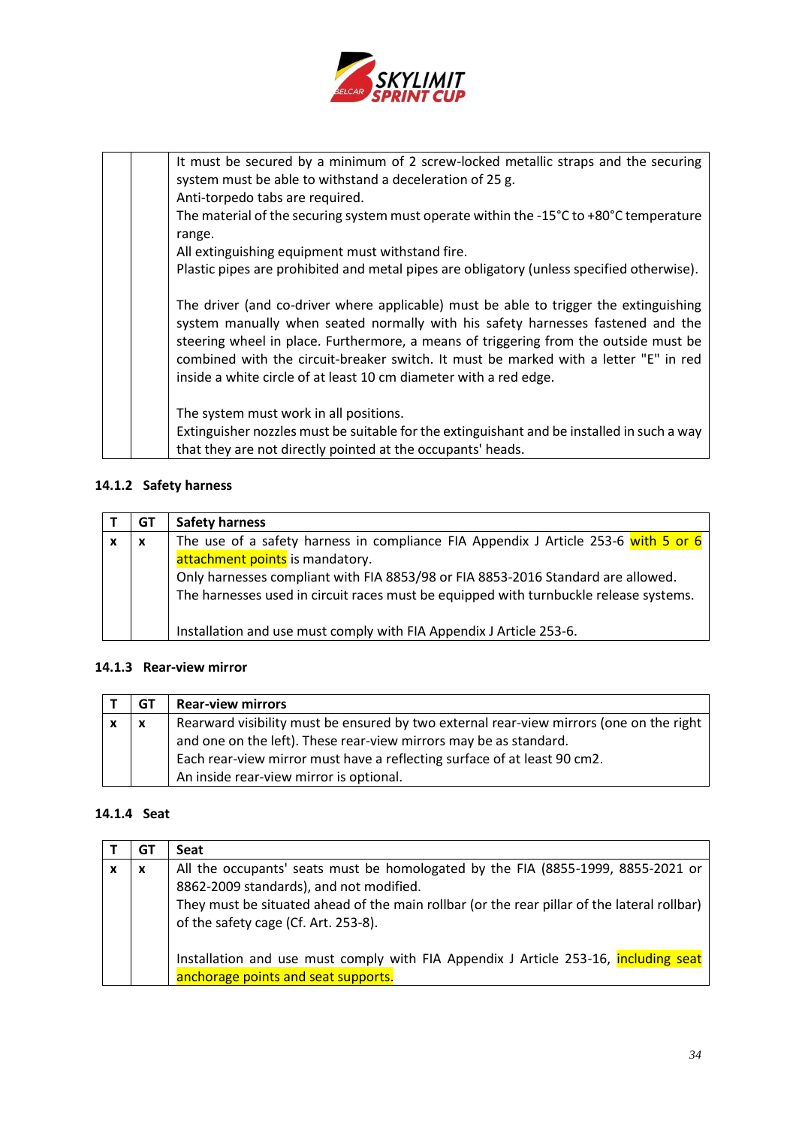

It must be secured by a minimum of 2 screw-locked metallic straps and the securing system must be able to withstand a deceleration of 25 g. Anti-torpedo tabs are required.

The material of the securing system must operate within the -15°C to +80°C temperature range.

All extinguishing equipment must withstand fire.

Plastic pipes are prohibited and metal pipes are obligatory (unless specified otherwise).

The driver (and co-driver where applicable) must be able to trigger the extinguishing system manually when seated normally with his safety harnesses fastened and the steering wheel in place. Furthermore, a means of triggering from the outside must be combined with the circuit-breaker switch. It must be marked with a letter "E" in red inside a white circle of at least 10 cm diameter with a red edge.

The system must work in all positions.

Extinguisher nozzles must be suitable for the extinguishant and be installed in such a way that they are not directly pointed at the occupants' heads.

## **14.1.2 Safety harness**

|   | GT                        | <b>Safety harness</b>                                                                 |
|---|---------------------------|---------------------------------------------------------------------------------------|
| x | $\boldsymbol{\mathsf{x}}$ | The use of a safety harness in compliance FIA Appendix J Article 253-6 with 5 or 6    |
|   |                           | attachment points is mandatory.                                                       |
|   |                           | Only harnesses compliant with FIA 8853/98 or FIA 8853-2016 Standard are allowed.      |
|   |                           | The harnesses used in circuit races must be equipped with turnbuckle release systems. |
|   |                           |                                                                                       |
|   |                           | Installation and use must comply with FIA Appendix J Article 253-6.                   |

### **14.1.3 Rear-view mirror**

|   | GT | <b>Rear-view mirrors</b>                                                                |
|---|----|-----------------------------------------------------------------------------------------|
| x | X  | Rearward visibility must be ensured by two external rear-view mirrors (one on the right |
|   |    | and one on the left). These rear-view mirrors may be as standard.                       |
|   |    | Each rear-view mirror must have a reflecting surface of at least 90 cm2.                |
|   |    | An inside rear-view mirror is optional.                                                 |

### **14.1.4 Seat**

| GT. | Seat                                                                                                                                                                                                                                                               |
|-----|--------------------------------------------------------------------------------------------------------------------------------------------------------------------------------------------------------------------------------------------------------------------|
| X   | All the occupants' seats must be homologated by the FIA (8855-1999, 8855-2021 or<br>8862-2009 standards), and not modified.<br>They must be situated ahead of the main rollbar (or the rear pillar of the lateral rollbar)<br>of the safety cage (Cf. Art. 253-8). |
|     | Installation and use must comply with FIA Appendix J Article 253-16, including seat<br>anchorage points and seat supports.                                                                                                                                         |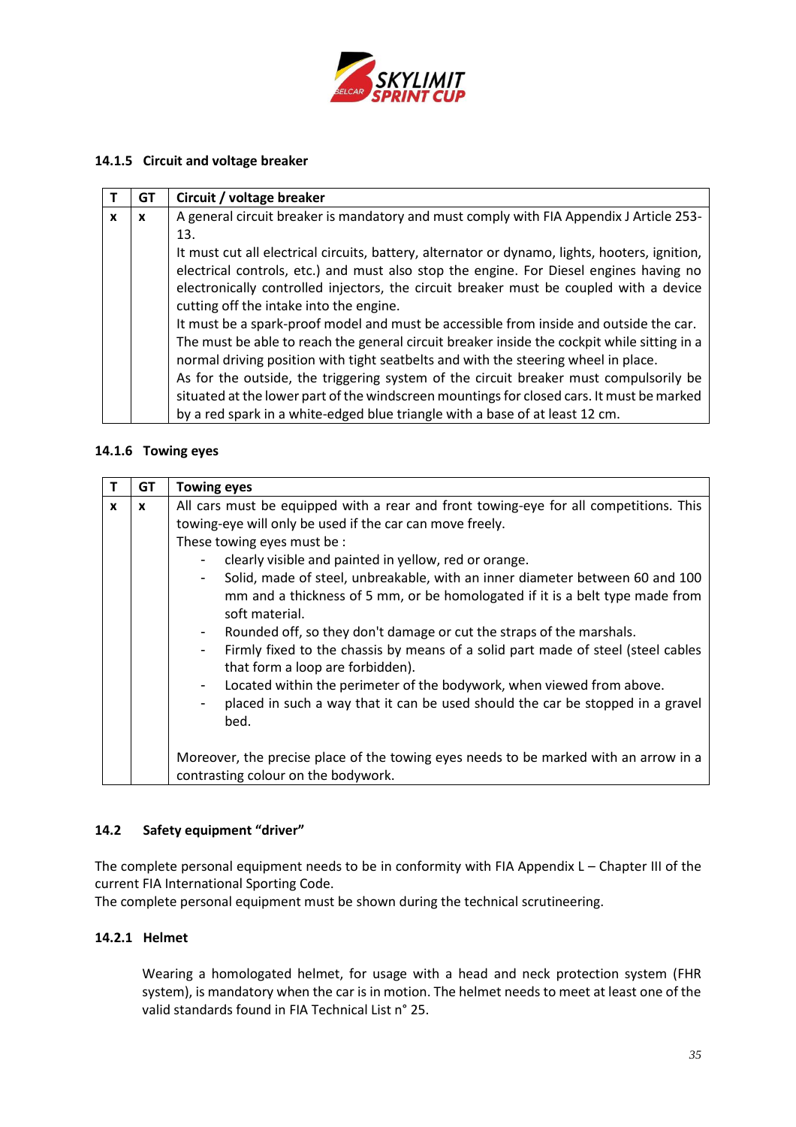

## **14.1.5 Circuit and voltage breaker**

|   | GT | Circuit / voltage breaker                                                                      |
|---|----|------------------------------------------------------------------------------------------------|
| X | X  | A general circuit breaker is mandatory and must comply with FIA Appendix J Article 253-        |
|   |    | 13.                                                                                            |
|   |    | It must cut all electrical circuits, battery, alternator or dynamo, lights, hooters, ignition, |
|   |    | electrical controls, etc.) and must also stop the engine. For Diesel engines having no         |
|   |    | electronically controlled injectors, the circuit breaker must be coupled with a device         |
|   |    | cutting off the intake into the engine.                                                        |
|   |    | It must be a spark-proof model and must be accessible from inside and outside the car.         |
|   |    | The must be able to reach the general circuit breaker inside the cockpit while sitting in a    |
|   |    | normal driving position with tight seatbelts and with the steering wheel in place.             |
|   |    | As for the outside, the triggering system of the circuit breaker must compulsorily be          |
|   |    | situated at the lower part of the windscreen mountings for closed cars. It must be marked      |
|   |    | by a red spark in a white-edged blue triangle with a base of at least 12 cm.                   |

## **14.1.6 Towing eyes**

|              | GT           | <b>Towing eyes</b>                                                                                                                                                                                                                                                                                                                                                                                                                                                                                                                                                                                                                                                                                                                                                                                                                                                                                                               |
|--------------|--------------|----------------------------------------------------------------------------------------------------------------------------------------------------------------------------------------------------------------------------------------------------------------------------------------------------------------------------------------------------------------------------------------------------------------------------------------------------------------------------------------------------------------------------------------------------------------------------------------------------------------------------------------------------------------------------------------------------------------------------------------------------------------------------------------------------------------------------------------------------------------------------------------------------------------------------------|
| $\mathbf{x}$ | $\mathbf{x}$ | All cars must be equipped with a rear and front towing-eye for all competitions. This<br>towing-eye will only be used if the car can move freely.<br>These towing eyes must be :<br>clearly visible and painted in yellow, red or orange.<br>Solid, made of steel, unbreakable, with an inner diameter between 60 and 100<br>$\overline{\phantom{a}}$<br>mm and a thickness of 5 mm, or be homologated if it is a belt type made from<br>soft material.<br>Rounded off, so they don't damage or cut the straps of the marshals.<br>$\blacksquare$<br>Firmly fixed to the chassis by means of a solid part made of steel (steel cables<br>$\overline{\phantom{a}}$<br>that form a loop are forbidden).<br>Located within the perimeter of the bodywork, when viewed from above.<br>$\overline{\phantom{a}}$<br>placed in such a way that it can be used should the car be stopped in a gravel<br>$\overline{\phantom{a}}$<br>bed. |
|              |              | Moreover, the precise place of the towing eyes needs to be marked with an arrow in a<br>contrasting colour on the bodywork.                                                                                                                                                                                                                                                                                                                                                                                                                                                                                                                                                                                                                                                                                                                                                                                                      |

## **14.2 Safety equipment "driver"**

The complete personal equipment needs to be in conformity with FIA Appendix L – Chapter III of the current FIA International Sporting Code.

The complete personal equipment must be shown during the technical scrutineering.

## **14.2.1 Helmet**

Wearing a homologated helmet, for usage with a head and neck protection system (FHR system), is mandatory when the car is in motion. The helmet needs to meet at least one of the valid standards found in FIA Technical List n° 25.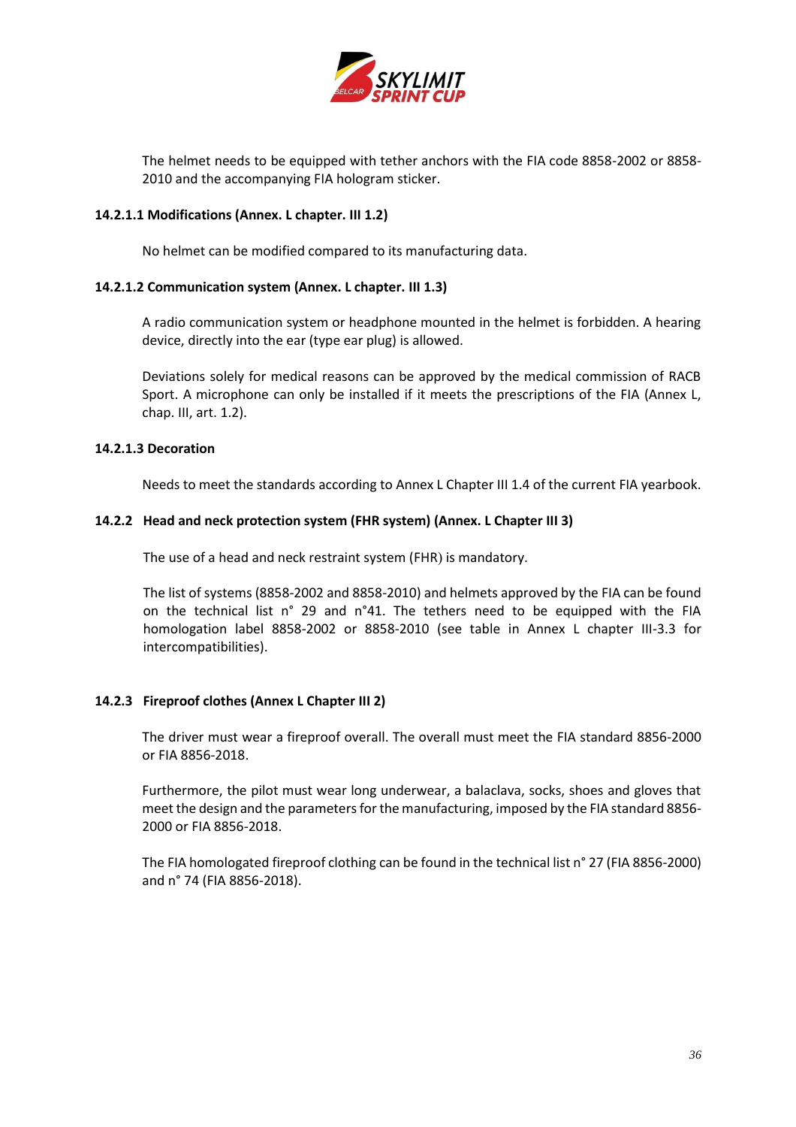

The helmet needs to be equipped with tether anchors with the FIA code 8858-2002 or 8858- 2010 and the accompanying FIA hologram sticker.

### **14.2.1.1 Modifications (Annex. L chapter. III 1.2)**

No helmet can be modified compared to its manufacturing data.

### **14.2.1.2 Communication system (Annex. L chapter. III 1.3)**

A radio communication system or headphone mounted in the helmet is forbidden. A hearing device, directly into the ear (type ear plug) is allowed.

Deviations solely for medical reasons can be approved by the medical commission of RACB Sport. A microphone can only be installed if it meets the prescriptions of the FIA (Annex L, chap. III, art. 1.2).

## **14.2.1.3 Decoration**

Needs to meet the standards according to Annex L Chapter III 1.4 of the current FIA yearbook.

## **14.2.2 Head and neck protection system (FHR system) (Annex. L Chapter III 3)**

The use of a head and neck restraint system (FHR) is mandatory.

The list of systems (8858-2002 and 8858-2010) and helmets approved by the FIA can be found on the technical list n° 29 and n°41. The tethers need to be equipped with the FIA homologation label 8858-2002 or 8858-2010 (see table in Annex L chapter III-3.3 for intercompatibilities).

### **14.2.3 Fireproof clothes (Annex L Chapter III 2)**

The driver must wear a fireproof overall. The overall must meet the FIA standard 8856-2000 or FIA 8856-2018.

Furthermore, the pilot must wear long underwear, a balaclava, socks, shoes and gloves that meet the design and the parameters for the manufacturing, imposed by the FIA standard 8856- 2000 or FIA 8856-2018.

The FIA homologated fireproof clothing can be found in the technical list n° 27 (FIA 8856-2000) and n° 74 (FIA 8856-2018).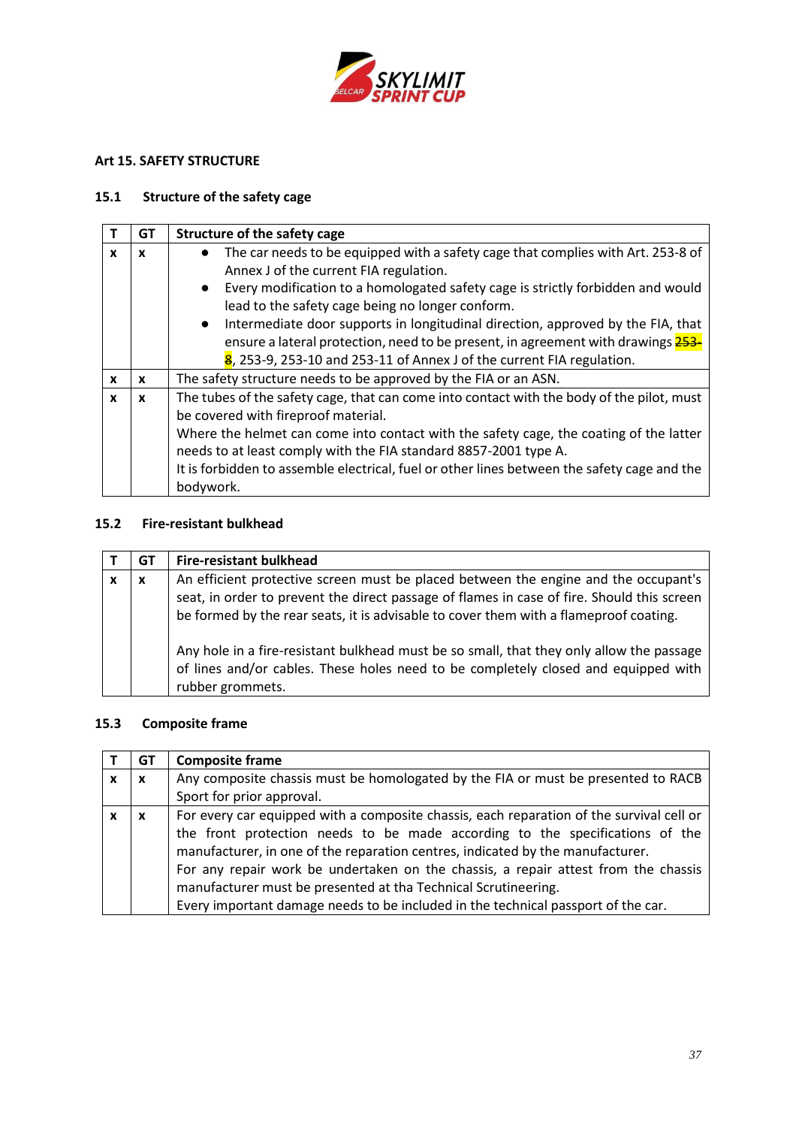

# <span id="page-36-0"></span>**Art 15. SAFETY STRUCTURE**

## **15.1 Structure of the safety cage**

|              | GT | Structure of the safety cage                                                                                                                                                                                                                                                                                                                                                                                                                                                                                                     |
|--------------|----|----------------------------------------------------------------------------------------------------------------------------------------------------------------------------------------------------------------------------------------------------------------------------------------------------------------------------------------------------------------------------------------------------------------------------------------------------------------------------------------------------------------------------------|
| x            | X  | The car needs to be equipped with a safety cage that complies with Art. 253-8 of<br>Annex J of the current FIA regulation.<br>• Every modification to a homologated safety cage is strictly forbidden and would<br>lead to the safety cage being no longer conform.<br>Intermediate door supports in longitudinal direction, approved by the FIA, that<br>$\bullet$<br>ensure a lateral protection, need to be present, in agreement with drawings 253-<br>8, 253-9, 253-10 and 253-11 of Annex J of the current FIA regulation. |
| $\mathbf{x}$ | x  | The safety structure needs to be approved by the FIA or an ASN.                                                                                                                                                                                                                                                                                                                                                                                                                                                                  |
| X            | x  | The tubes of the safety cage, that can come into contact with the body of the pilot, must<br>be covered with fireproof material.<br>Where the helmet can come into contact with the safety cage, the coating of the latter<br>needs to at least comply with the FIA standard 8857-2001 type A.<br>It is forbidden to assemble electrical, fuel or other lines between the safety cage and the<br>bodywork.                                                                                                                       |

# **15.2 Fire-resistant bulkhead**

| GТ | <b>Fire-resistant bulkhead</b>                                                                                                                                                                                                                                             |
|----|----------------------------------------------------------------------------------------------------------------------------------------------------------------------------------------------------------------------------------------------------------------------------|
| X  | An efficient protective screen must be placed between the engine and the occupant's<br>seat, in order to prevent the direct passage of flames in case of fire. Should this screen<br>be formed by the rear seats, it is advisable to cover them with a flameproof coating. |
|    | Any hole in a fire-resistant bulkhead must be so small, that they only allow the passage<br>of lines and/or cables. These holes need to be completely closed and equipped with<br>rubber grommets.                                                                         |

# **15.3 Composite frame**

|   | GT                        | <b>Composite frame</b>                                                                                                                                                                                                                                                                                                                                                                                                                                                                                  |
|---|---------------------------|---------------------------------------------------------------------------------------------------------------------------------------------------------------------------------------------------------------------------------------------------------------------------------------------------------------------------------------------------------------------------------------------------------------------------------------------------------------------------------------------------------|
| X | X                         | Any composite chassis must be homologated by the FIA or must be presented to RACB                                                                                                                                                                                                                                                                                                                                                                                                                       |
|   |                           | Sport for prior approval.                                                                                                                                                                                                                                                                                                                                                                                                                                                                               |
|   | $\boldsymbol{\mathsf{x}}$ | For every car equipped with a composite chassis, each reparation of the survival cell or<br>the front protection needs to be made according to the specifications of the<br>manufacturer, in one of the reparation centres, indicated by the manufacturer.<br>For any repair work be undertaken on the chassis, a repair attest from the chassis<br>manufacturer must be presented at tha Technical Scrutineering.<br>Every important damage needs to be included in the technical passport of the car. |